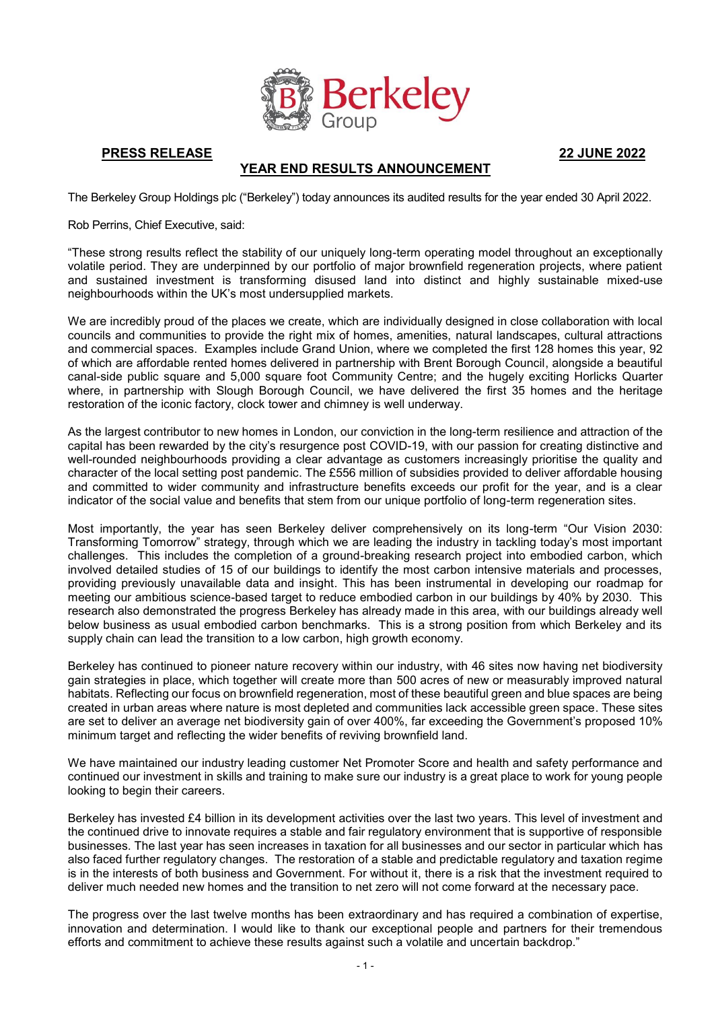

**PRESS RELEASE 22 JUNE 2022**

# **YEAR END RESULTS ANNOUNCEMENT**

The Berkeley Group Holdings plc ("Berkeley") today announces its audited results for the year ended 30 April 2022.

Rob Perrins, Chief Executive, said:

"These strong results reflect the stability of our uniquely long-term operating model throughout an exceptionally volatile period. They are underpinned by our portfolio of major brownfield regeneration projects, where patient and sustained investment is transforming disused land into distinct and highly sustainable mixed-use neighbourhoods within the UK's most undersupplied markets.

We are incredibly proud of the places we create, which are individually designed in close collaboration with local councils and communities to provide the right mix of homes, amenities, natural landscapes, cultural attractions and commercial spaces. Examples include Grand Union, where we completed the first 128 homes this year, 92 of which are affordable rented homes delivered in partnership with Brent Borough Council, alongside a beautiful canal-side public square and 5,000 square foot Community Centre; and the hugely exciting Horlicks Quarter where, in partnership with Slough Borough Council, we have delivered the first 35 homes and the heritage restoration of the iconic factory, clock tower and chimney is well underway.

As the largest contributor to new homes in London, our conviction in the long-term resilience and attraction of the capital has been rewarded by the city's resurgence post COVID-19, with our passion for creating distinctive and well-rounded neighbourhoods providing a clear advantage as customers increasingly prioritise the quality and character of the local setting post pandemic. The £556 million of subsidies provided to deliver affordable housing and committed to wider community and infrastructure benefits exceeds our profit for the year, and is a clear indicator of the social value and benefits that stem from our unique portfolio of long-term regeneration sites.

Most importantly, the year has seen Berkeley deliver comprehensively on its long-term "Our Vision 2030: Transforming Tomorrow" strategy, through which we are leading the industry in tackling today's most important challenges. This includes the completion of a ground-breaking research project into embodied carbon, which involved detailed studies of 15 of our buildings to identify the most carbon intensive materials and processes, providing previously unavailable data and insight. This has been instrumental in developing our roadmap for meeting our ambitious science-based target to reduce embodied carbon in our buildings by 40% by 2030. This research also demonstrated the progress Berkeley has already made in this area, with our buildings already well below business as usual embodied carbon benchmarks. This is a strong position from which Berkeley and its supply chain can lead the transition to a low carbon, high growth economy.

Berkeley has continued to pioneer nature recovery within our industry, with 46 sites now having net biodiversity gain strategies in place, which together will create more than 500 acres of new or measurably improved natural habitats. Reflecting our focus on brownfield regeneration, most of these beautiful green and blue spaces are being created in urban areas where nature is most depleted and communities lack accessible green space. These sites are set to deliver an average net biodiversity gain of over 400%, far exceeding the Government's proposed 10% minimum target and reflecting the wider benefits of reviving brownfield land.

We have maintained our industry leading customer Net Promoter Score and health and safety performance and continued our investment in skills and training to make sure our industry is a great place to work for young people looking to begin their careers.

Berkeley has invested £4 billion in its development activities over the last two years. This level of investment and the continued drive to innovate requires a stable and fair regulatory environment that is supportive of responsible businesses. The last year has seen increases in taxation for all businesses and our sector in particular which has also faced further regulatory changes. The restoration of a stable and predictable regulatory and taxation regime is in the interests of both business and Government. For without it, there is a risk that the investment required to deliver much needed new homes and the transition to net zero will not come forward at the necessary pace.

The progress over the last twelve months has been extraordinary and has required a combination of expertise, innovation and determination. I would like to thank our exceptional people and partners for their tremendous efforts and commitment to achieve these results against such a volatile and uncertain backdrop."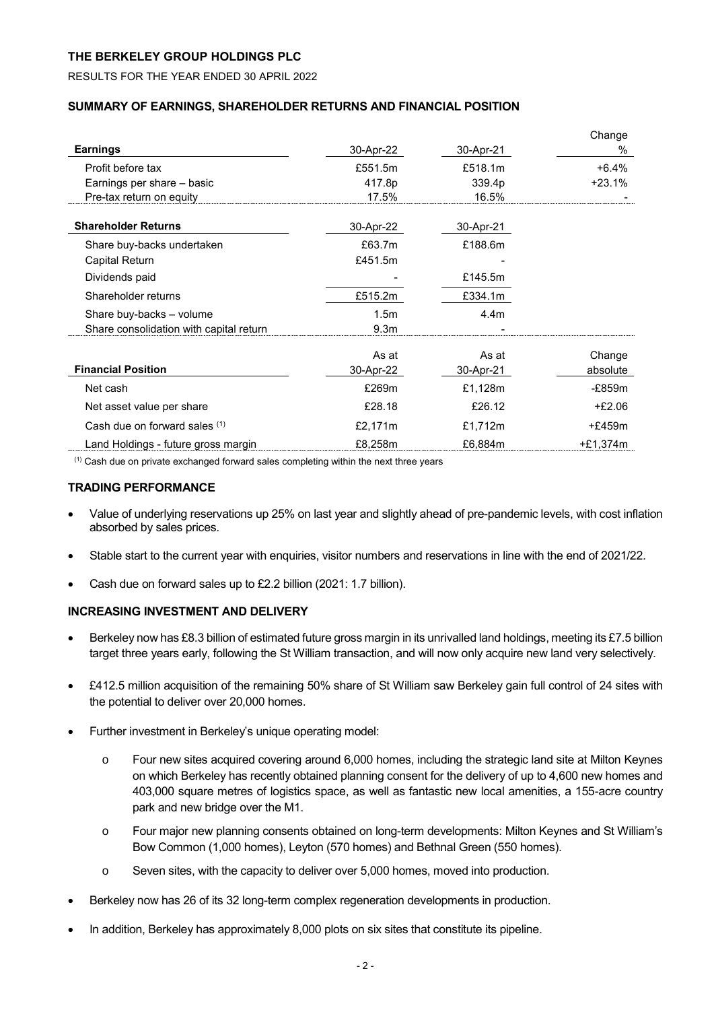# RESULTS FOR THE YEAR ENDED 30 APRIL 2022

# **SUMMARY OF EARNINGS, SHAREHOLDER RETURNS AND FINANCIAL POSITION**

|                                         |                  |                  | Change     |
|-----------------------------------------|------------------|------------------|------------|
| <b>Earnings</b>                         | 30-Apr-22        | 30-Apr-21        | %          |
| Profit before tax                       | £551.5m          | £518.1m          | $+6.4%$    |
| Earnings per share - basic              | 417.8p           | 339.4p           | $+23.1%$   |
| Pre-tax return on equity                | 17.5%            | 16.5%            |            |
| <b>Shareholder Returns</b>              | 30-Apr-22        | 30-Apr-21        |            |
| Share buy-backs undertaken              | £63.7m           | £188.6m          |            |
| Capital Return                          | £451.5m          |                  |            |
| Dividends paid                          |                  | £145.5m          |            |
| Shareholder returns                     | £515.2m          | £334.1m          |            |
| Share buy-backs - volume                | 1.5 <sub>m</sub> | 4.4 <sub>m</sub> |            |
| Share consolidation with capital return | 9.3 <sub>m</sub> |                  |            |
|                                         | As at            | As at            | Change     |
| <b>Financial Position</b>               | 30-Apr-22        | 30-Apr-21        | absolute   |
| Net cash                                | £269m            | £1,128m          | -£859m     |
| Net asset value per share               | £28.18           | £26.12           | $+£2.06$   |
| Cash due on forward sales (1)           | £2,171m          | £1,712m          | $+£459m$   |
| Land Holdings - future gross margin     | £8,258m          | £6,884m          | $+£1,374m$ |

 $<sup>(1)</sup>$  Cash due on private exchanged forward sales completing within the next three years</sup>

# **TRADING PERFORMANCE**

- Value of underlying reservations up 25% on last year and slightly ahead of pre-pandemic levels, with cost inflation absorbed by sales prices.
- Stable start to the current year with enquiries, visitor numbers and reservations in line with the end of 2021/22.
- Cash due on forward sales up to £2.2 billion (2021: 1.7 billion).

# **INCREASING INVESTMENT AND DELIVERY**

- Berkeley now has £8.3 billion of estimated future gross margin in its unrivalled land holdings, meeting its £7.5 billion target three years early, following the St William transaction, and will now only acquire new land very selectively.
- £412.5 million acquisition of the remaining 50% share of St William saw Berkeley gain full control of 24 sites with the potential to deliver over 20,000 homes.
- Further investment in Berkeley's unique operating model:
	- o Four new sites acquired covering around 6,000 homes, including the strategic land site at Milton Keynes on which Berkeley has recently obtained planning consent for the delivery of up to 4,600 new homes and 403,000 square metres of logistics space, as well as fantastic new local amenities, a 155-acre country park and new bridge over the M1.
	- o Four major new planning consents obtained on long-term developments: Milton Keynes and St William's Bow Common (1,000 homes), Leyton (570 homes) and Bethnal Green (550 homes).
	- o Seven sites, with the capacity to deliver over 5,000 homes, moved into production.
- Berkeley now has 26 of its 32 long-term complex regeneration developments in production.
- In addition, Berkeley has approximately 8,000 plots on six sites that constitute its pipeline.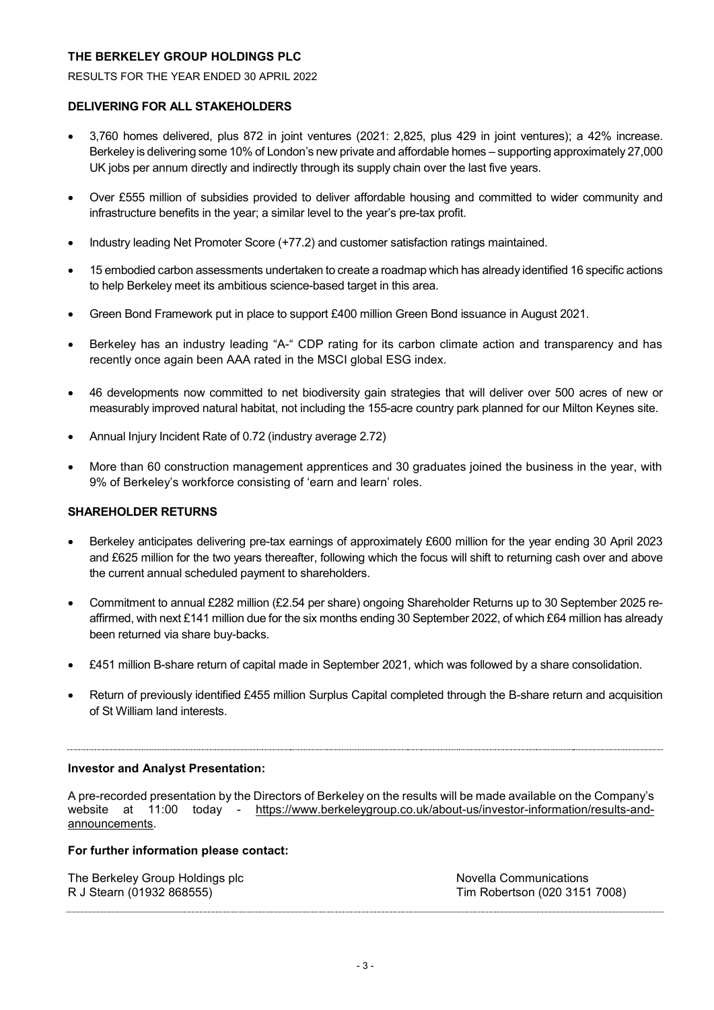RESULTS FOR THE YEAR ENDED 30 APRIL 2022

# **DELIVERING FOR ALL STAKEHOLDERS**

- 3,760 homes delivered, plus 872 in joint ventures (2021: 2,825, plus 429 in joint ventures); a 42% increase. Berkeley is delivering some 10% of London's new private and affordable homes – supporting approximately 27,000 UK jobs per annum directly and indirectly through its supply chain over the last five years.
- Over £555 million of subsidies provided to deliver affordable housing and committed to wider community and infrastructure benefits in the year; a similar level to the year's pre-tax profit.
- Industry leading Net Promoter Score (+77.2) and customer satisfaction ratings maintained.
- 15 embodied carbon assessments undertaken to create a roadmap which has already identified 16 specific actions to help Berkeley meet its ambitious science-based target in this area.
- Green Bond Framework put in place to support £400 million Green Bond issuance in August 2021.
- Berkeley has an industry leading "A-" CDP rating for its carbon climate action and transparency and has recently once again been AAA rated in the MSCI global ESG index.
- 46 developments now committed to net biodiversity gain strategies that will deliver over 500 acres of new or measurably improved natural habitat, not including the 155-acre country park planned for our Milton Keynes site.
- Annual Injury Incident Rate of 0.72 (industry average 2.72)
- More than 60 construction management apprentices and 30 graduates joined the business in the year, with 9% of Berkeley's workforce consisting of 'earn and learn' roles.

# **SHAREHOLDER RETURNS**

- Berkeley anticipates delivering pre-tax earnings of approximately £600 million for the year ending 30 April 2023 and £625 million for the two years thereafter, following which the focus will shift to returning cash over and above the current annual scheduled payment to shareholders.
- Commitment to annual £282 million (£2.54 per share) ongoing Shareholder Returns up to 30 September 2025 reaffirmed, with next £141 million due for the six months ending 30 September 2022, of which £64 million has already been returned via share buy-backs.
- £451 million B-share return of capital made in September 2021, which was followed by a share consolidation.
- Return of previously identified £455 million Surplus Capital completed through the B-share return and acquisition of St William land interests.

# **Investor and Analyst Presentation:**

A pre-recorded presentation by the Directors of Berkeley on the results will be made available on the Company's website at 11:00 today - [https://www.berkeleygroup.co.uk/about-us/investor-information/results-and](https://www.berkeleygroup.co.uk/about-us/investor-information/results-and-announcements)[announcements.](https://www.berkeleygroup.co.uk/about-us/investor-information/results-and-announcements)

# **For further information please contact:**

| The Berkeley Group Holdings plc | Novella Communications        |
|---------------------------------|-------------------------------|
| R J Stearn (01932 868555)       | Tim Robertson (020 3151 7008) |
|                                 |                               |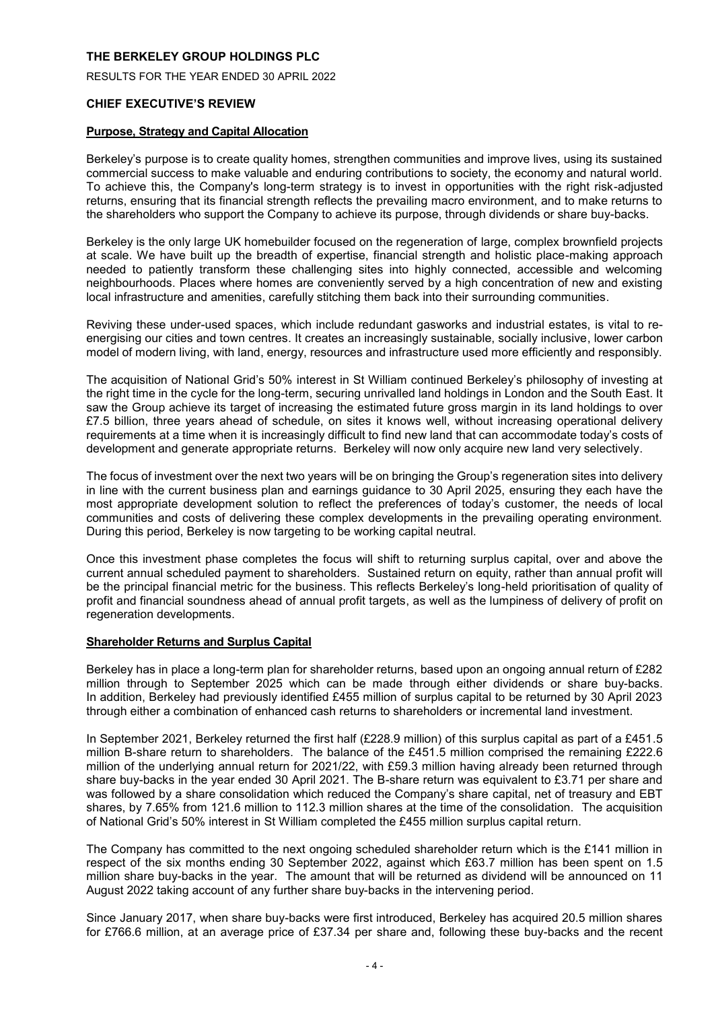RESULTS FOR THE YEAR ENDED 30 APRIL 2022

# **CHIEF EXECUTIVE'S REVIEW**

# **Purpose, Strategy and Capital Allocation**

Berkeley's purpose is to create quality homes, strengthen communities and improve lives, using its sustained commercial success to make valuable and enduring contributions to society, the economy and natural world. To achieve this, the Company's long-term strategy is to invest in opportunities with the right risk-adjusted returns, ensuring that its financial strength reflects the prevailing macro environment, and to make returns to the shareholders who support the Company to achieve its purpose, through dividends or share buy-backs.

Berkeley is the only large UK homebuilder focused on the regeneration of large, complex brownfield projects at scale. We have built up the breadth of expertise, financial strength and holistic place-making approach needed to patiently transform these challenging sites into highly connected, accessible and welcoming neighbourhoods. Places where homes are conveniently served by a high concentration of new and existing local infrastructure and amenities, carefully stitching them back into their surrounding communities.

Reviving these under-used spaces, which include redundant gasworks and industrial estates, is vital to reenergising our cities and town centres. It creates an increasingly sustainable, socially inclusive, lower carbon model of modern living, with land, energy, resources and infrastructure used more efficiently and responsibly.

The acquisition of National Grid's 50% interest in St William continued Berkeley's philosophy of investing at the right time in the cycle for the long-term, securing unrivalled land holdings in London and the South East. It saw the Group achieve its target of increasing the estimated future gross margin in its land holdings to over £7.5 billion, three years ahead of schedule, on sites it knows well, without increasing operational delivery requirements at a time when it is increasingly difficult to find new land that can accommodate today's costs of development and generate appropriate returns. Berkeley will now only acquire new land very selectively.

The focus of investment over the next two years will be on bringing the Group's regeneration sites into delivery in line with the current business plan and earnings guidance to 30 April 2025, ensuring they each have the most appropriate development solution to reflect the preferences of today's customer, the needs of local communities and costs of delivering these complex developments in the prevailing operating environment. During this period, Berkeley is now targeting to be working capital neutral.

Once this investment phase completes the focus will shift to returning surplus capital, over and above the current annual scheduled payment to shareholders. Sustained return on equity, rather than annual profit will be the principal financial metric for the business. This reflects Berkeley's long-held prioritisation of quality of profit and financial soundness ahead of annual profit targets, as well as the lumpiness of delivery of profit on regeneration developments.

# **Shareholder Returns and Surplus Capital**

Berkeley has in place a long-term plan for shareholder returns, based upon an ongoing annual return of £282 million through to September 2025 which can be made through either dividends or share buy-backs. In addition, Berkeley had previously identified £455 million of surplus capital to be returned by 30 April 2023 through either a combination of enhanced cash returns to shareholders or incremental land investment.

In September 2021, Berkeley returned the first half (£228.9 million) of this surplus capital as part of a £451.5 million B-share return to shareholders. The balance of the £451.5 million comprised the remaining £222.6 million of the underlying annual return for 2021/22, with £59.3 million having already been returned through share buy-backs in the year ended 30 April 2021. The B-share return was equivalent to £3.71 per share and was followed by a share consolidation which reduced the Company's share capital, net of treasury and EBT shares, by 7.65% from 121.6 million to 112.3 million shares at the time of the consolidation. The acquisition of National Grid's 50% interest in St William completed the £455 million surplus capital return.

The Company has committed to the next ongoing scheduled shareholder return which is the £141 million in respect of the six months ending 30 September 2022, against which £63.7 million has been spent on 1.5 million share buy-backs in the year. The amount that will be returned as dividend will be announced on 11 August 2022 taking account of any further share buy-backs in the intervening period.

Since January 2017, when share buy-backs were first introduced, Berkeley has acquired 20.5 million shares for £766.6 million, at an average price of £37.34 per share and, following these buy-backs and the recent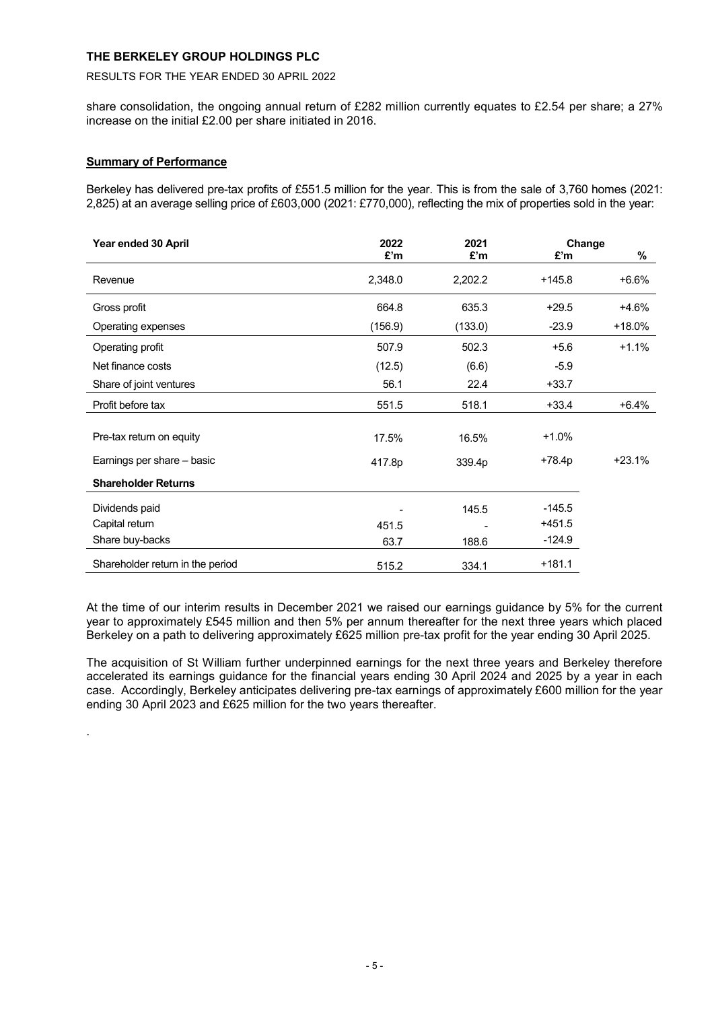# RESULTS FOR THE YEAR ENDED 30 APRIL 2022

share consolidation, the ongoing annual return of £282 million currently equates to £2.54 per share; a 27% increase on the initial £2.00 per share initiated in 2016.

# **Summary of Performance**

.

Berkeley has delivered pre-tax profits of £551.5 million for the year. This is from the sale of 3,760 homes (2021: 2,825) at an average selling price of £603,000 (2021: £770,000), reflecting the mix of properties sold in the year:

| Year ended 30 April              | 2022    | 2021    |          | Change   |
|----------------------------------|---------|---------|----------|----------|
|                                  | £'m     | £'m     | £'m      | %        |
| Revenue                          | 2,348.0 | 2,202.2 | $+145.8$ | $+6.6%$  |
| Gross profit                     | 664.8   | 635.3   | $+29.5$  | $+4.6%$  |
| Operating expenses               | (156.9) | (133.0) | $-23.9$  | $+18.0%$ |
| Operating profit                 | 507.9   | 502.3   | $+5.6$   | $+1.1%$  |
| Net finance costs                | (12.5)  | (6.6)   | $-5.9$   |          |
| Share of joint ventures          | 56.1    | 22.4    | $+33.7$  |          |
| Profit before tax                | 551.5   | 518.1   | $+33.4$  | $+6.4%$  |
|                                  |         |         |          |          |
| Pre-tax return on equity         | 17.5%   | 16.5%   | $+1.0%$  |          |
| Earnings per share - basic       | 417.8p  | 339.4p  | $+78.4p$ | $+23.1%$ |
| <b>Shareholder Returns</b>       |         |         |          |          |
| Dividends paid                   |         | 145.5   | $-145.5$ |          |
| Capital return                   | 451.5   |         | $+451.5$ |          |
| Share buy-backs                  | 63.7    | 188.6   | $-124.9$ |          |
| Shareholder return in the period | 515.2   | 334.1   | $+181.1$ |          |

At the time of our interim results in December 2021 we raised our earnings guidance by 5% for the current year to approximately £545 million and then 5% per annum thereafter for the next three years which placed Berkeley on a path to delivering approximately £625 million pre-tax profit for the year ending 30 April 2025.

The acquisition of St William further underpinned earnings for the next three years and Berkeley therefore accelerated its earnings guidance for the financial years ending 30 April 2024 and 2025 by a year in each case. Accordingly, Berkeley anticipates delivering pre-tax earnings of approximately £600 million for the year ending 30 April 2023 and £625 million for the two years thereafter.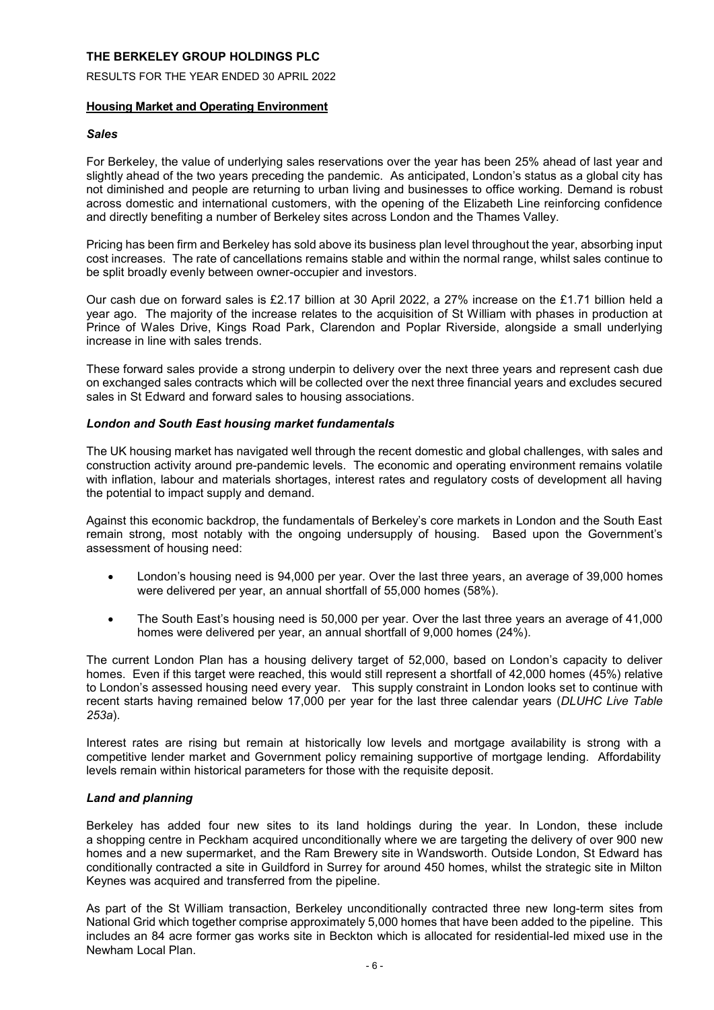RESULTS FOR THE YEAR ENDED 30 APRIL 2022

# **Housing Market and Operating Environment**

# *Sales*

For Berkeley, the value of underlying sales reservations over the year has been 25% ahead of last year and slightly ahead of the two years preceding the pandemic. As anticipated, London's status as a global city has not diminished and people are returning to urban living and businesses to office working. Demand is robust across domestic and international customers, with the opening of the Elizabeth Line reinforcing confidence and directly benefiting a number of Berkeley sites across London and the Thames Valley.

Pricing has been firm and Berkeley has sold above its business plan level throughout the year, absorbing input cost increases. The rate of cancellations remains stable and within the normal range, whilst sales continue to be split broadly evenly between owner-occupier and investors.

Our cash due on forward sales is £2.17 billion at 30 April 2022, a 27% increase on the £1.71 billion held a year ago. The majority of the increase relates to the acquisition of St William with phases in production at Prince of Wales Drive, Kings Road Park, Clarendon and Poplar Riverside, alongside a small underlying increase in line with sales trends.

These forward sales provide a strong underpin to delivery over the next three years and represent cash due on exchanged sales contracts which will be collected over the next three financial years and excludes secured sales in St Edward and forward sales to housing associations.

# *London and South East housing market fundamentals*

The UK housing market has navigated well through the recent domestic and global challenges, with sales and construction activity around pre-pandemic levels. The economic and operating environment remains volatile with inflation, labour and materials shortages, interest rates and regulatory costs of development all having the potential to impact supply and demand.

Against this economic backdrop, the fundamentals of Berkeley's core markets in London and the South East remain strong, most notably with the ongoing undersupply of housing. Based upon the Government's assessment of housing need:

- London's housing need is 94,000 per year. Over the last three years, an average of 39,000 homes were delivered per year, an annual shortfall of 55,000 homes (58%).
- The South East's housing need is 50,000 per year. Over the last three years an average of 41,000 homes were delivered per year, an annual shortfall of 9,000 homes (24%).

The current London Plan has a housing delivery target of 52,000, based on London's capacity to deliver homes. Even if this target were reached, this would still represent a shortfall of 42,000 homes (45%) relative to London's assessed housing need every year. This supply constraint in London looks set to continue with recent starts having remained below 17,000 per year for the last three calendar years (*DLUHC Live Table 253a*).

Interest rates are rising but remain at historically low levels and mortgage availability is strong with a competitive lender market and Government policy remaining supportive of mortgage lending. Affordability levels remain within historical parameters for those with the requisite deposit.

# *Land and planning*

Berkeley has added four new sites to its land holdings during the year. In London, these include a shopping centre in Peckham acquired unconditionally where we are targeting the delivery of over 900 new homes and a new supermarket, and the Ram Brewery site in Wandsworth. Outside London, St Edward has conditionally contracted a site in Guildford in Surrey for around 450 homes, whilst the strategic site in Milton Keynes was acquired and transferred from the pipeline.

As part of the St William transaction, Berkeley unconditionally contracted three new long-term sites from National Grid which together comprise approximately 5,000 homes that have been added to the pipeline. This includes an 84 acre former gas works site in Beckton which is allocated for residential-led mixed use in the Newham Local Plan.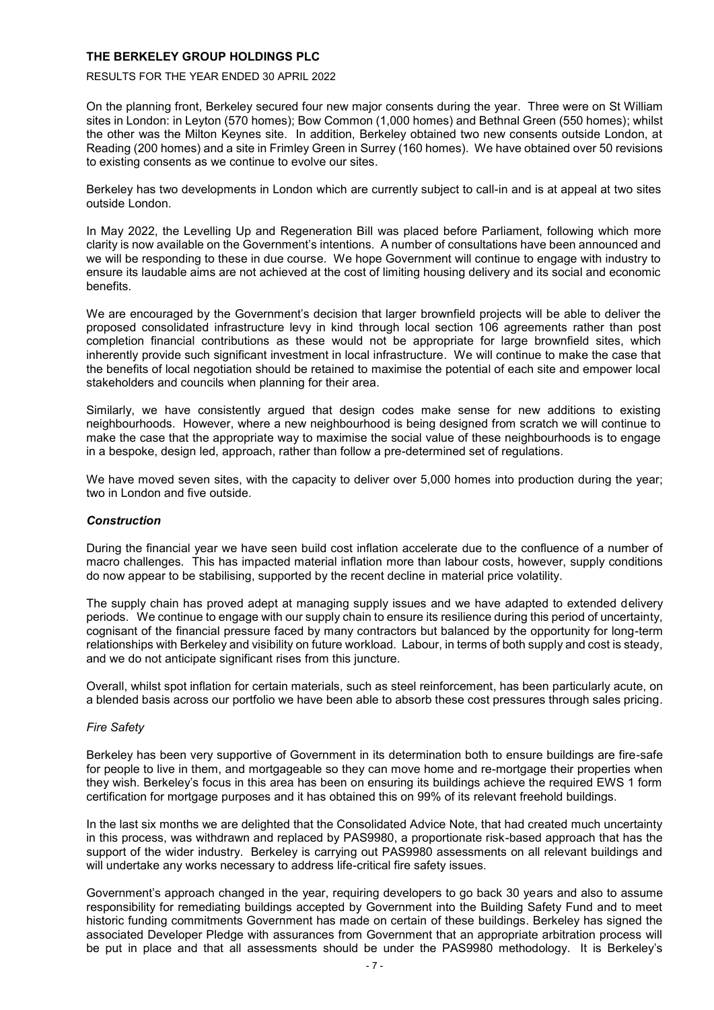### RESULTS FOR THE YEAR ENDED 30 APRIL 2022

On the planning front, Berkeley secured four new major consents during the year. Three were on St William sites in London: in Leyton (570 homes); Bow Common (1,000 homes) and Bethnal Green (550 homes); whilst the other was the Milton Keynes site. In addition, Berkeley obtained two new consents outside London, at Reading (200 homes) and a site in Frimley Green in Surrey (160 homes). We have obtained over 50 revisions to existing consents as we continue to evolve our sites.

Berkeley has two developments in London which are currently subject to call-in and is at appeal at two sites outside London.

In May 2022, the Levelling Up and Regeneration Bill was placed before Parliament, following which more clarity is now available on the Government's intentions. A number of consultations have been announced and we will be responding to these in due course. We hope Government will continue to engage with industry to ensure its laudable aims are not achieved at the cost of limiting housing delivery and its social and economic benefits.

We are encouraged by the Government's decision that larger brownfield projects will be able to deliver the proposed consolidated infrastructure levy in kind through local section 106 agreements rather than post completion financial contributions as these would not be appropriate for large brownfield sites, which inherently provide such significant investment in local infrastructure. We will continue to make the case that the benefits of local negotiation should be retained to maximise the potential of each site and empower local stakeholders and councils when planning for their area.

Similarly, we have consistently argued that design codes make sense for new additions to existing neighbourhoods. However, where a new neighbourhood is being designed from scratch we will continue to make the case that the appropriate way to maximise the social value of these neighbourhoods is to engage in a bespoke, design led, approach, rather than follow a pre-determined set of regulations.

We have moved seven sites, with the capacity to deliver over 5,000 homes into production during the year; two in London and five outside.

# *Construction*

During the financial year we have seen build cost inflation accelerate due to the confluence of a number of macro challenges. This has impacted material inflation more than labour costs, however, supply conditions do now appear to be stabilising, supported by the recent decline in material price volatility.

The supply chain has proved adept at managing supply issues and we have adapted to extended delivery periods. We continue to engage with our supply chain to ensure its resilience during this period of uncertainty, cognisant of the financial pressure faced by many contractors but balanced by the opportunity for long-term relationships with Berkeley and visibility on future workload. Labour, in terms of both supply and cost is steady, and we do not anticipate significant rises from this juncture.

Overall, whilst spot inflation for certain materials, such as steel reinforcement, has been particularly acute, on a blended basis across our portfolio we have been able to absorb these cost pressures through sales pricing.

# *Fire Safety*

Berkeley has been very supportive of Government in its determination both to ensure buildings are fire-safe for people to live in them, and mortgageable so they can move home and re-mortgage their properties when they wish. Berkeley's focus in this area has been on ensuring its buildings achieve the required EWS 1 form certification for mortgage purposes and it has obtained this on 99% of its relevant freehold buildings.

In the last six months we are delighted that the Consolidated Advice Note, that had created much uncertainty in this process, was withdrawn and replaced by PAS9980, a proportionate risk-based approach that has the support of the wider industry. Berkeley is carrying out PAS9980 assessments on all relevant buildings and will undertake any works necessary to address life-critical fire safety issues.

Government's approach changed in the year, requiring developers to go back 30 years and also to assume responsibility for remediating buildings accepted by Government into the Building Safety Fund and to meet historic funding commitments Government has made on certain of these buildings. Berkeley has signed the associated Developer Pledge with assurances from Government that an appropriate arbitration process will be put in place and that all assessments should be under the PAS9980 methodology. It is Berkeley's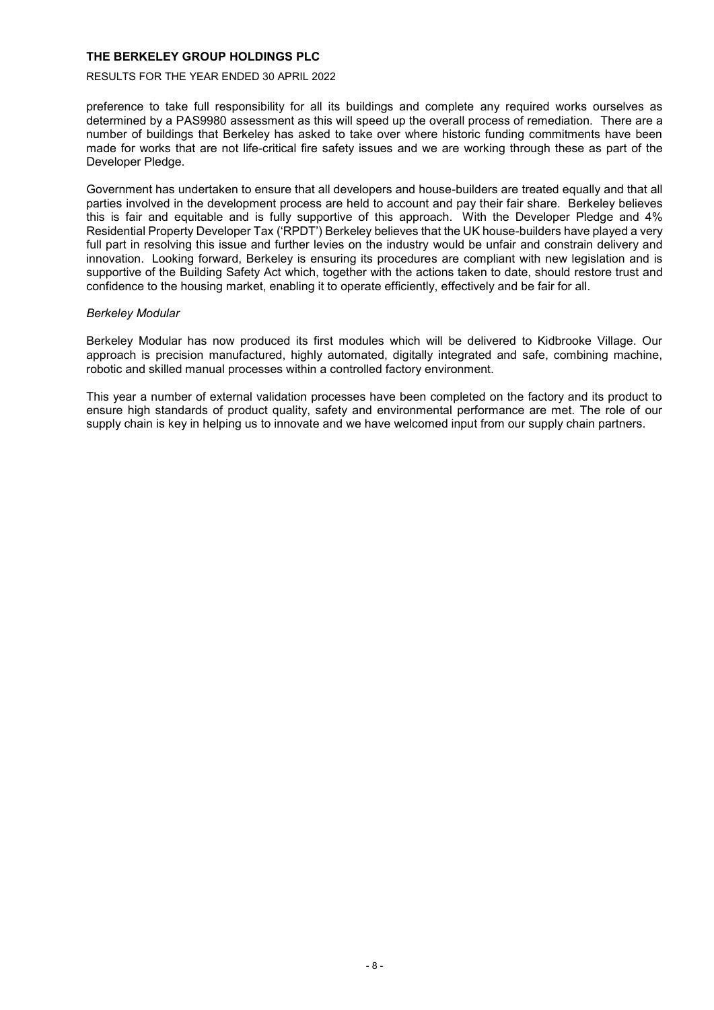### RESULTS FOR THE YEAR ENDED 30 APRIL 2022

preference to take full responsibility for all its buildings and complete any required works ourselves as determined by a PAS9980 assessment as this will speed up the overall process of remediation. There are a number of buildings that Berkeley has asked to take over where historic funding commitments have been made for works that are not life-critical fire safety issues and we are working through these as part of the Developer Pledge.

Government has undertaken to ensure that all developers and house-builders are treated equally and that all parties involved in the development process are held to account and pay their fair share. Berkeley believes this is fair and equitable and is fully supportive of this approach. With the Developer Pledge and 4% Residential Property Developer Tax ('RPDT') Berkeley believes that the UK house-builders have played a very full part in resolving this issue and further levies on the industry would be unfair and constrain delivery and innovation. Looking forward, Berkeley is ensuring its procedures are compliant with new legislation and is supportive of the Building Safety Act which, together with the actions taken to date, should restore trust and confidence to the housing market, enabling it to operate efficiently, effectively and be fair for all.

# *Berkeley Modular*

Berkeley Modular has now produced its first modules which will be delivered to Kidbrooke Village. Our approach is precision manufactured, highly automated, digitally integrated and safe, combining machine, robotic and skilled manual processes within a controlled factory environment.

This year a number of external validation processes have been completed on the factory and its product to ensure high standards of product quality, safety and environmental performance are met. The role of our supply chain is key in helping us to innovate and we have welcomed input from our supply chain partners.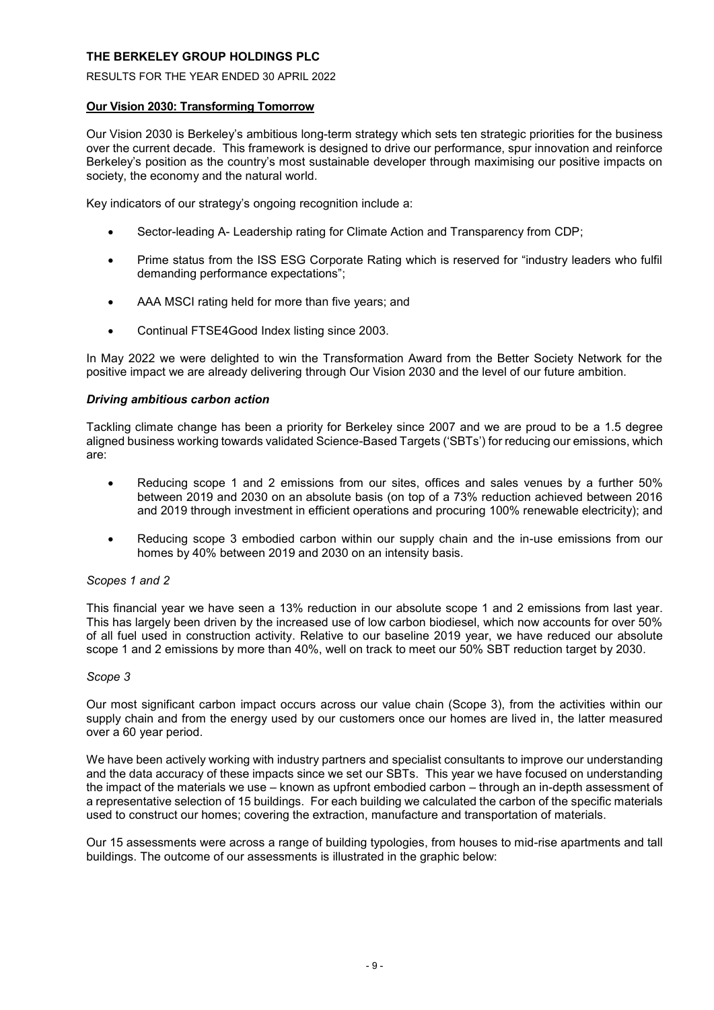RESULTS FOR THE YEAR ENDED 30 APRIL 2022

# **Our Vision 2030: Transforming Tomorrow**

Our Vision 2030 is Berkeley's ambitious long-term strategy which sets ten strategic priorities for the business over the current decade. This framework is designed to drive our performance, spur innovation and reinforce Berkeley's position as the country's most sustainable developer through maximising our positive impacts on society, the economy and the natural world.

Key indicators of our strategy's ongoing recognition include a:

- Sector-leading A- Leadership rating for Climate Action and Transparency from CDP;
- Prime status from the ISS ESG Corporate Rating which is reserved for "industry leaders who fulfil demanding performance expectations";
- AAA MSCI rating held for more than five years; and
- Continual FTSE4Good Index listing since 2003.

In May 2022 we were delighted to win the Transformation Award from the Better Society Network for the positive impact we are already delivering through Our Vision 2030 and the level of our future ambition.

# *Driving ambitious carbon action*

Tackling climate change has been a priority for Berkeley since 2007 and we are proud to be a 1.5 degree aligned business working towards validated Science-Based Targets ('SBTs') for reducing our emissions, which are:

- Reducing scope 1 and 2 emissions from our sites, offices and sales venues by a further 50% between 2019 and 2030 on an absolute basis (on top of a 73% reduction achieved between 2016 and 2019 through investment in efficient operations and procuring 100% renewable electricity); and
- Reducing scope 3 embodied carbon within our supply chain and the in-use emissions from our homes by 40% between 2019 and 2030 on an intensity basis.

# *Scopes 1 and 2*

This financial year we have seen a 13% reduction in our absolute scope 1 and 2 emissions from last year. This has largely been driven by the increased use of low carbon biodiesel, which now accounts for over 50% of all fuel used in construction activity. Relative to our baseline 2019 year, we have reduced our absolute scope 1 and 2 emissions by more than 40%, well on track to meet our 50% SBT reduction target by 2030.

# *Scope 3*

Our most significant carbon impact occurs across our value chain (Scope 3), from the activities within our supply chain and from the energy used by our customers once our homes are lived in, the latter measured over a 60 year period.

We have been actively working with industry partners and specialist consultants to improve our understanding and the data accuracy of these impacts since we set our SBTs. This year we have focused on understanding the impact of the materials we use – known as upfront embodied carbon – through an in-depth assessment of a representative selection of 15 buildings. For each building we calculated the carbon of the specific materials used to construct our homes; covering the extraction, manufacture and transportation of materials.

Our 15 assessments were across a range of building typologies, from houses to mid-rise apartments and tall buildings. The outcome of our assessments is illustrated in the graphic below: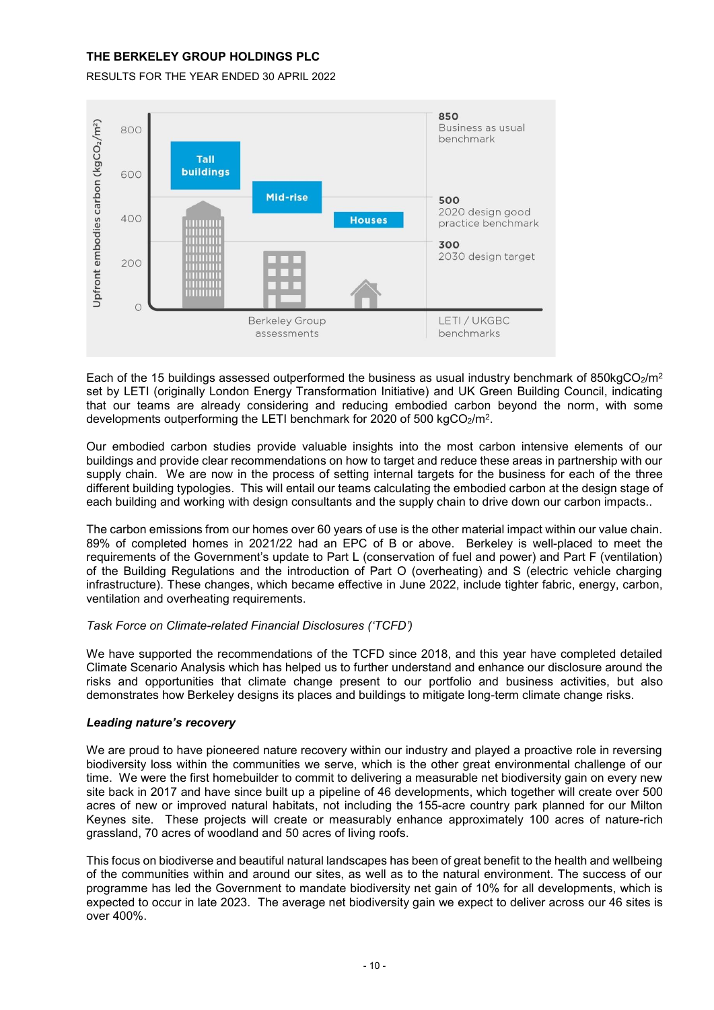RESULTS FOR THE YEAR ENDED 30 APRIL 2022



Each of the 15 buildings assessed outperformed the business as usual industry benchmark of 850kgCO $_2$ /m<sup>2</sup> set by LETI (originally London Energy Transformation Initiative) and UK Green Building Council, indicating that our teams are already considering and reducing embodied carbon beyond the norm, with some developments outperforming the LETI benchmark for 2020 of 500 kgCO2/m<sup>2</sup>.

Our embodied carbon studies provide valuable insights into the most carbon intensive elements of our buildings and provide clear recommendations on how to target and reduce these areas in partnership with our supply chain. We are now in the process of setting internal targets for the business for each of the three different building typologies. This will entail our teams calculating the embodied carbon at the design stage of each building and working with design consultants and the supply chain to drive down our carbon impacts..

The carbon emissions from our homes over 60 years of use is the other material impact within our value chain. 89% of completed homes in 2021/22 had an EPC of B or above. Berkeley is well-placed to meet the requirements of the Government's update to Part L (conservation of fuel and power) and Part F (ventilation) of the Building Regulations and the introduction of Part O (overheating) and S (electric vehicle charging infrastructure). These changes, which became effective in June 2022, include tighter fabric, energy, carbon, ventilation and overheating requirements.

# *Task Force on Climate-related Financial Disclosures ('TCFD')*

We have supported the recommendations of the TCFD since 2018, and this year have completed detailed Climate Scenario Analysis which has helped us to further understand and enhance our disclosure around the risks and opportunities that climate change present to our portfolio and business activities, but also demonstrates how Berkeley designs its places and buildings to mitigate long-term climate change risks.

# *Leading nature's recovery*

We are proud to have pioneered nature recovery within our industry and played a proactive role in reversing biodiversity loss within the communities we serve, which is the other great environmental challenge of our time. We were the first homebuilder to commit to delivering a measurable net biodiversity gain on every new site back in 2017 and have since built up a pipeline of 46 developments, which together will create over 500 acres of new or improved natural habitats, not including the 155-acre country park planned for our Milton Keynes site. These projects will create or measurably enhance approximately 100 acres of nature-rich grassland, 70 acres of woodland and 50 acres of living roofs.

This focus on biodiverse and beautiful natural landscapes has been of great benefit to the health and wellbeing of the communities within and around our sites, as well as to the natural environment. The success of our programme has led the Government to mandate biodiversity net gain of 10% for all developments, which is expected to occur in late 2023. The average net biodiversity gain we expect to deliver across our 46 sites is over 400%.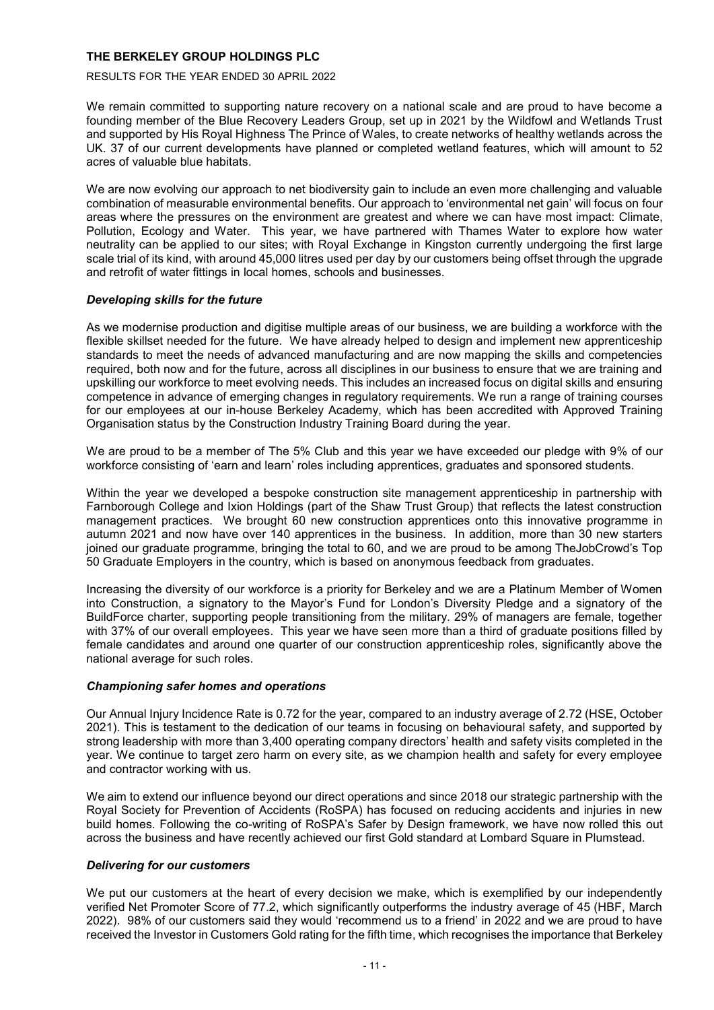# RESULTS FOR THE YEAR ENDED 30 APRIL 2022

We remain committed to supporting nature recovery on a national scale and are proud to have become a founding member of the Blue Recovery Leaders Group, set up in 2021 by the Wildfowl and Wetlands Trust and supported by His Royal Highness The Prince of Wales, to create networks of healthy wetlands across the UK. 37 of our current developments have planned or completed wetland features, which will amount to 52 acres of valuable blue habitats.

We are now evolving our approach to net biodiversity gain to include an even more challenging and valuable combination of measurable environmental benefits. Our approach to 'environmental net gain' will focus on four areas where the pressures on the environment are greatest and where we can have most impact: Climate, Pollution, Ecology and Water. This year, we have partnered with Thames Water to explore how water neutrality can be applied to our sites; with Royal Exchange in Kingston currently undergoing the first large scale trial of its kind, with around 45,000 litres used per day by our customers being offset through the upgrade and retrofit of water fittings in local homes, schools and businesses.

# *Developing skills for the future*

As we modernise production and digitise multiple areas of our business, we are building a workforce with the flexible skillset needed for the future. We have already helped to design and implement new apprenticeship standards to meet the needs of advanced manufacturing and are now mapping the skills and competencies required, both now and for the future, across all disciplines in our business to ensure that we are training and upskilling our workforce to meet evolving needs. This includes an increased focus on digital skills and ensuring competence in advance of emerging changes in regulatory requirements. We run a range of training courses for our employees at our in-house Berkeley Academy, which has been accredited with Approved Training Organisation status by the Construction Industry Training Board during the year.

We are proud to be a member of The 5% Club and this year we have exceeded our pledge with 9% of our workforce consisting of 'earn and learn' roles including apprentices, graduates and sponsored students.

Within the year we developed a bespoke construction site management apprenticeship in partnership with Farnborough College and Ixion Holdings (part of the Shaw Trust Group) that reflects the latest construction management practices. We brought 60 new construction apprentices onto this innovative programme in autumn 2021 and now have over 140 apprentices in the business. In addition, more than 30 new starters joined our graduate programme, bringing the total to 60, and we are proud to be among TheJobCrowd's Top 50 Graduate Employers in the country, which is based on anonymous feedback from graduates.

Increasing the diversity of our workforce is a priority for Berkeley and we are a Platinum Member of Women into Construction, a signatory to the Mayor's Fund for London's Diversity Pledge and a signatory of the BuildForce charter, supporting people transitioning from the military. 29% of managers are female, together with 37% of our overall employees. This year we have seen more than a third of graduate positions filled by female candidates and around one quarter of our construction apprenticeship roles, significantly above the national average for such roles.

# *Championing safer homes and operations*

Our Annual Injury Incidence Rate is 0.72 for the year, compared to an industry average of 2.72 (HSE, October 2021). This is testament to the dedication of our teams in focusing on behavioural safety, and supported by strong leadership with more than 3,400 operating company directors' health and safety visits completed in the year. We continue to target zero harm on every site, as we champion health and safety for every employee and contractor working with us.

We aim to extend our influence beyond our direct operations and since 2018 our strategic partnership with the Royal Society for Prevention of Accidents (RoSPA) has focused on reducing accidents and injuries in new build homes. Following the co-writing of RoSPA's Safer by Design framework, we have now rolled this out across the business and have recently achieved our first Gold standard at Lombard Square in Plumstead.

# *Delivering for our customers*

We put our customers at the heart of every decision we make, which is exemplified by our independently verified Net Promoter Score of 77.2, which significantly outperforms the industry average of 45 (HBF, March 2022). 98% of our customers said they would 'recommend us to a friend' in 2022 and we are proud to have received the Investor in Customers Gold rating for the fifth time, which recognises the importance that Berkeley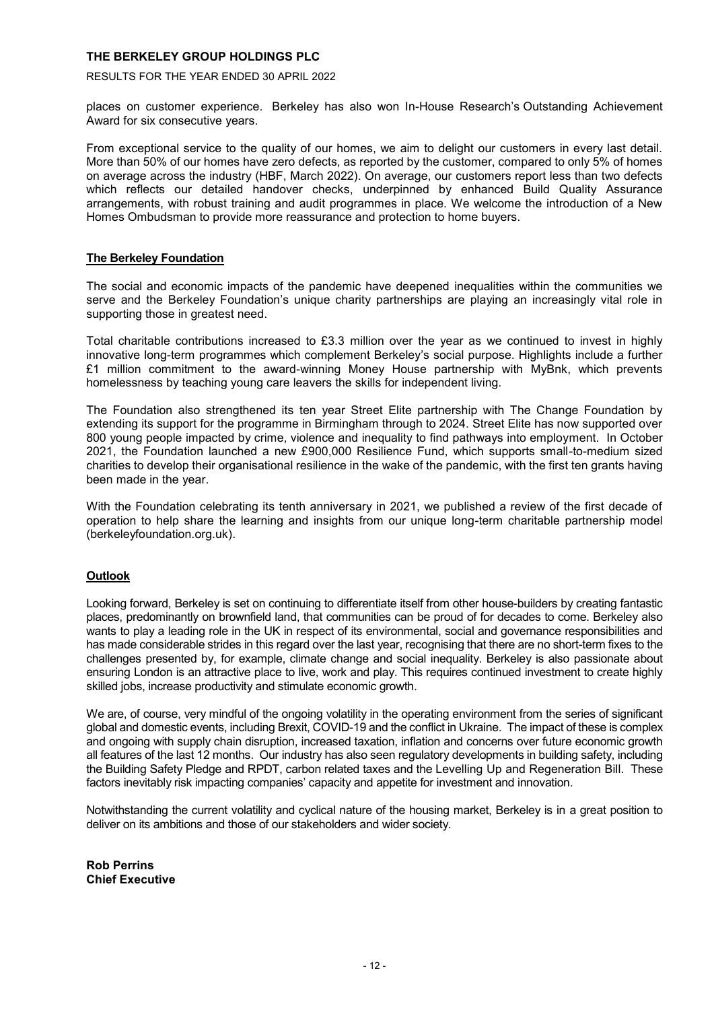RESULTS FOR THE YEAR ENDED 30 APRIL 2022

places on customer experience. Berkeley has also won In-House Research's [Outstanding Achievement](https://www.berkeleygroup.co.uk/news-and-insights/news-and-features/2021/another-year-of-outstanding-customer-satisfaction)  [Award](https://www.berkeleygroup.co.uk/news-and-insights/news-and-features/2021/another-year-of-outstanding-customer-satisfaction) for six consecutive years.

From exceptional service to the quality of our homes, we aim to delight our customers in every last detail. More than 50% of our homes have zero defects, as reported by the customer, compared to only 5% of homes on average across the industry (HBF, March 2022). On average, our customers report less than two defects which reflects our detailed handover checks, underpinned by enhanced Build Quality Assurance arrangements, with robust training and audit programmes in place. We welcome the introduction of a New Homes Ombudsman to provide more reassurance and protection to home buyers.

# **The Berkeley Foundation**

The social and economic impacts of the pandemic have deepened inequalities within the communities we serve and the Berkeley Foundation's unique charity partnerships are playing an increasingly vital role in supporting those in greatest need.

Total charitable contributions increased to £3.3 million over the year as we continued to invest in highly innovative long-term programmes which complement Berkeley's social purpose. Highlights include a further £1 million commitment to the award-winning Money House partnership with MyBnk, which prevents homelessness by teaching young care leavers the skills for independent living.

The Foundation also strengthened its ten year Street Elite partnership with The Change Foundation by extending its support for the programme in Birmingham through to 2024. Street Elite has now supported over 800 young people impacted by crime, violence and inequality to find pathways into employment. In October 2021, the Foundation launched a new £900,000 Resilience Fund, which supports small-to-medium sized charities to develop their organisational resilience in the wake of the pandemic, with the first ten grants having been made in the year.

With the Foundation celebrating its tenth anniversary in 2021, we published a review of the first decade of operation to help share the learning and insights from our unique long-term charitable partnership model (berkeleyfoundation.org.uk).

# **Outlook**

Looking forward, Berkeley is set on continuing to differentiate itself from other house-builders by creating fantastic places, predominantly on brownfield land, that communities can be proud of for decades to come. Berkeley also wants to play a leading role in the UK in respect of its environmental, social and governance responsibilities and has made considerable strides in this regard over the last year, recognising that there are no short-term fixes to the challenges presented by, for example, climate change and social inequality. Berkeley is also passionate about ensuring London is an attractive place to live, work and play. This requires continued investment to create highly skilled jobs, increase productivity and stimulate economic growth.

We are, of course, very mindful of the ongoing volatility in the operating environment from the series of significant global and domestic events, including Brexit, COVID-19 and the conflict in Ukraine. The impact of these is complex and ongoing with supply chain disruption, increased taxation, inflation and concerns over future economic growth all features of the last 12 months. Our industry has also seen regulatory developments in building safety, including the Building Safety Pledge and RPDT, carbon related taxes and the Levelling Up and Regeneration Bill. These factors inevitably risk impacting companies' capacity and appetite for investment and innovation.

Notwithstanding the current volatility and cyclical nature of the housing market, Berkeley is in a great position to deliver on its ambitions and those of our stakeholders and wider society.

**Rob Perrins Chief Executive**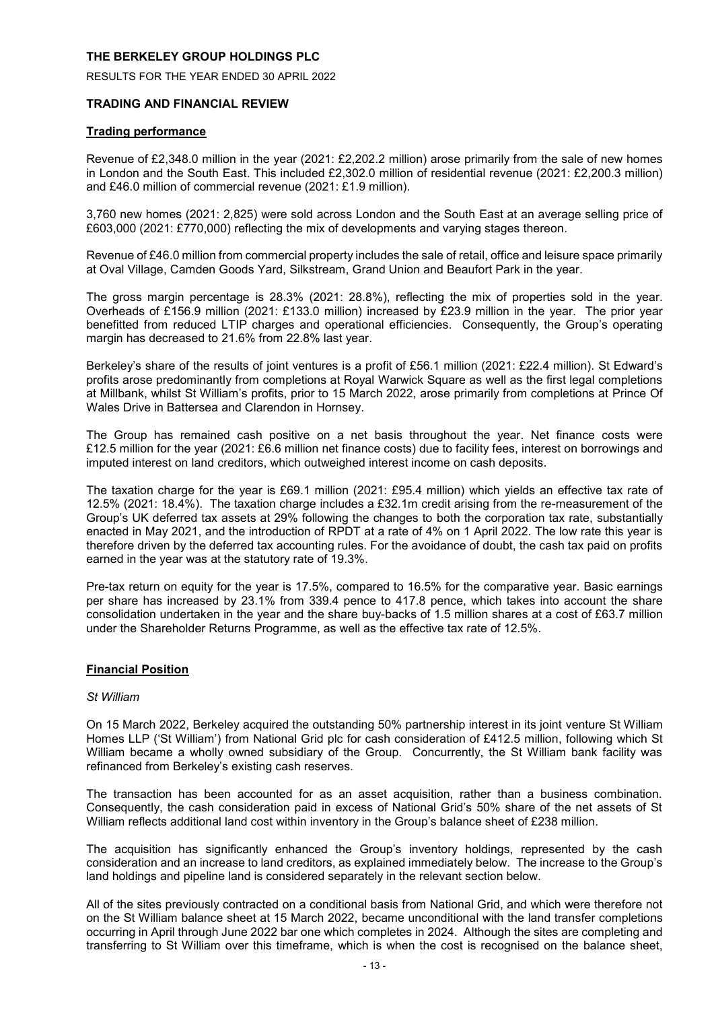RESULTS FOR THE YEAR ENDED 30 APRIL 2022

# **TRADING AND FINANCIAL REVIEW**

# **Trading performance**

Revenue of £2,348.0 million in the year (2021: £2,202.2 million) arose primarily from the sale of new homes in London and the South East. This included £2,302.0 million of residential revenue (2021: £2,200.3 million) and £46.0 million of commercial revenue (2021: £1.9 million).

3,760 new homes (2021: 2,825) were sold across London and the South East at an average selling price of £603,000 (2021: £770,000) reflecting the mix of developments and varying stages thereon.

Revenue of £46.0 million from commercial property includes the sale of retail, office and leisure space primarily at Oval Village, Camden Goods Yard, Silkstream, Grand Union and Beaufort Park in the year.

The gross margin percentage is 28.3% (2021: 28.8%), reflecting the mix of properties sold in the year. Overheads of £156.9 million (2021: £133.0 million) increased by £23.9 million in the year. The prior year benefitted from reduced LTIP charges and operational efficiencies. Consequently, the Group's operating margin has decreased to 21.6% from 22.8% last year.

Berkeley's share of the results of joint ventures is a profit of £56.1 million (2021: £22.4 million). St Edward's profits arose predominantly from completions at Royal Warwick Square as well as the first legal completions at Millbank, whilst St William's profits, prior to 15 March 2022, arose primarily from completions at Prince Of Wales Drive in Battersea and Clarendon in Hornsey.

The Group has remained cash positive on a net basis throughout the year. Net finance costs were £12.5 million for the year (2021: £6.6 million net finance costs) due to facility fees, interest on borrowings and imputed interest on land creditors, which outweighed interest income on cash deposits.

The taxation charge for the year is £69.1 million (2021: £95.4 million) which yields an effective tax rate of 12.5% (2021: 18.4%). The taxation charge includes a £32.1m credit arising from the re-measurement of the Group's UK deferred tax assets at 29% following the changes to both the corporation tax rate, substantially enacted in May 2021, and the introduction of RPDT at a rate of 4% on 1 April 2022. The low rate this year is therefore driven by the deferred tax accounting rules. For the avoidance of doubt, the cash tax paid on profits earned in the year was at the statutory rate of 19.3%.

Pre-tax return on equity for the year is 17.5%, compared to 16.5% for the comparative year. Basic earnings per share has increased by 23.1% from 339.4 pence to 417.8 pence, which takes into account the share consolidation undertaken in the year and the share buy-backs of 1.5 million shares at a cost of £63.7 million under the Shareholder Returns Programme, as well as the effective tax rate of 12.5%.

# **Financial Position**

# *St William*

On 15 March 2022, Berkeley acquired the outstanding 50% partnership interest in its joint venture St William Homes LLP ('St William') from National Grid plc for cash consideration of £412.5 million, following which St William became a wholly owned subsidiary of the Group. Concurrently, the St William bank facility was refinanced from Berkeley's existing cash reserves.

The transaction has been accounted for as an asset acquisition, rather than a business combination. Consequently, the cash consideration paid in excess of National Grid's 50% share of the net assets of St William reflects additional land cost within inventory in the Group's balance sheet of £238 million.

The acquisition has significantly enhanced the Group's inventory holdings, represented by the cash consideration and an increase to land creditors, as explained immediately below. The increase to the Group's land holdings and pipeline land is considered separately in the relevant section below.

All of the sites previously contracted on a conditional basis from National Grid, and which were therefore not on the St William balance sheet at 15 March 2022, became unconditional with the land transfer completions occurring in April through June 2022 bar one which completes in 2024. Although the sites are completing and transferring to St William over this timeframe, which is when the cost is recognised on the balance sheet,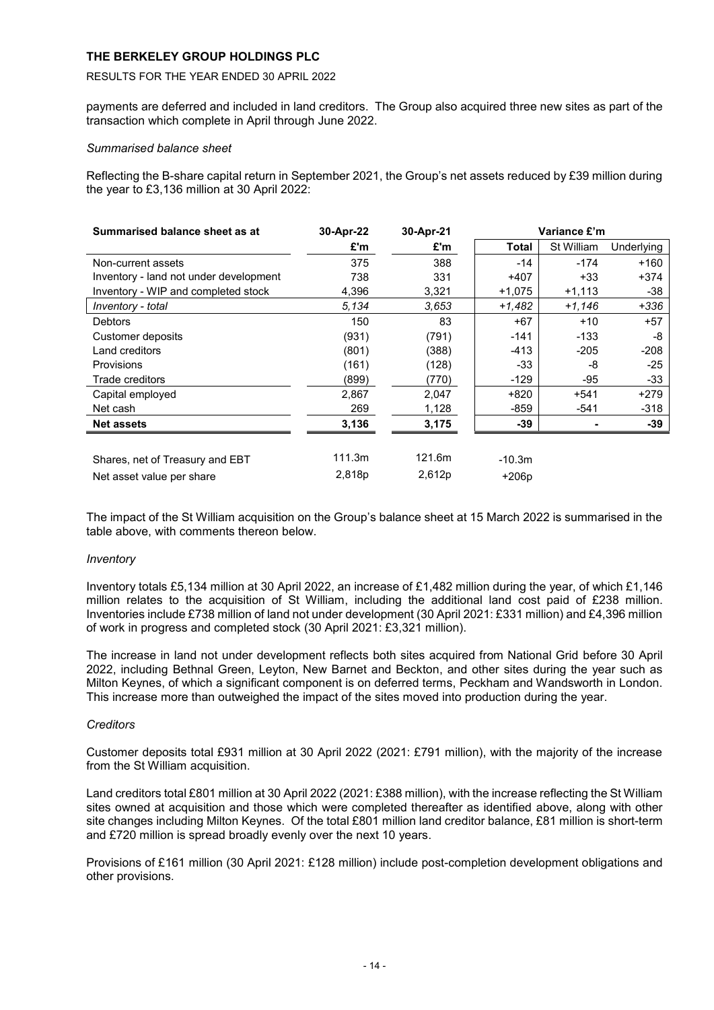# RESULTS FOR THE YEAR ENDED 30 APRIL 2022

payments are deferred and included in land creditors. The Group also acquired three new sites as part of the transaction which complete in April through June 2022.

# *Summarised balance sheet*

Reflecting the B-share capital return in September 2021, the Group's net assets reduced by £39 million during the year to £3,136 million at 30 April 2022:

| Summarised balance sheet as at         | 30-Apr-22 | 30-Apr-21 | Variance £'m |            |            |  |  |
|----------------------------------------|-----------|-----------|--------------|------------|------------|--|--|
|                                        | £'m       | £'m       | Total        | St William | Underlying |  |  |
| Non-current assets                     | 375       | 388       | $-14$        | $-174$     | $+160$     |  |  |
| Inventory - land not under development | 738       | 331       | $+407$       | $+33$      | $+374$     |  |  |
| Inventory - WIP and completed stock    | 4,396     | 3,321     | +1,075       | $+1,113$   | -38        |  |  |
| Inventory - total                      | 5.134     | 3.653     | $+1,482$     | $+1,146$   | $+336$     |  |  |
| <b>Debtors</b>                         | 150       | 83        | $+67$        | $+10$      | +57        |  |  |
| Customer deposits                      | (931)     | (791)     | $-141$       | $-133$     | -8         |  |  |
| Land creditors                         | (801)     | (388)     | $-413$       | $-205$     | $-208$     |  |  |
| <b>Provisions</b>                      | (161)     | (128)     | -33          | -8         | $-25$      |  |  |
| Trade creditors                        | (899)     | (770)     | -129         | $-95$      | -33        |  |  |
| Capital employed                       | 2,867     | 2,047     | $+820$       | $+541$     | $+279$     |  |  |
| Net cash                               | 269       | 1,128     | -859         | $-541$     | $-318$     |  |  |
| <b>Net assets</b>                      | 3,136     | 3,175     | -39          |            | -39        |  |  |
|                                        |           |           |              |            |            |  |  |
| Shares, net of Treasury and EBT        | 111.3m    | 121.6m    | $-10.3m$     |            |            |  |  |
| Net asset value per share              | 2,818p    | 2,612p    | $+206p$      |            |            |  |  |

The impact of the St William acquisition on the Group's balance sheet at 15 March 2022 is summarised in the table above, with comments thereon below.

# *Inventory*

Inventory totals £5,134 million at 30 April 2022, an increase of £1,482 million during the year, of which £1,146 million relates to the acquisition of St William, including the additional land cost paid of £238 million. Inventories include £738 million of land not under development (30 April 2021: £331 million) and £4,396 million of work in progress and completed stock (30 April 2021: £3,321 million).

The increase in land not under development reflects both sites acquired from National Grid before 30 April 2022, including Bethnal Green, Leyton, New Barnet and Beckton, and other sites during the year such as Milton Keynes, of which a significant component is on deferred terms, Peckham and Wandsworth in London. This increase more than outweighed the impact of the sites moved into production during the year.

# *Creditors*

Customer deposits total £931 million at 30 April 2022 (2021: £791 million), with the majority of the increase from the St William acquisition.

Land creditors total £801 million at 30 April 2022 (2021: £388 million), with the increase reflecting the St William sites owned at acquisition and those which were completed thereafter as identified above, along with other site changes including Milton Keynes. Of the total £801 million land creditor balance, £81 million is short-term and £720 million is spread broadly evenly over the next 10 years.

Provisions of £161 million (30 April 2021: £128 million) include post-completion development obligations and other provisions.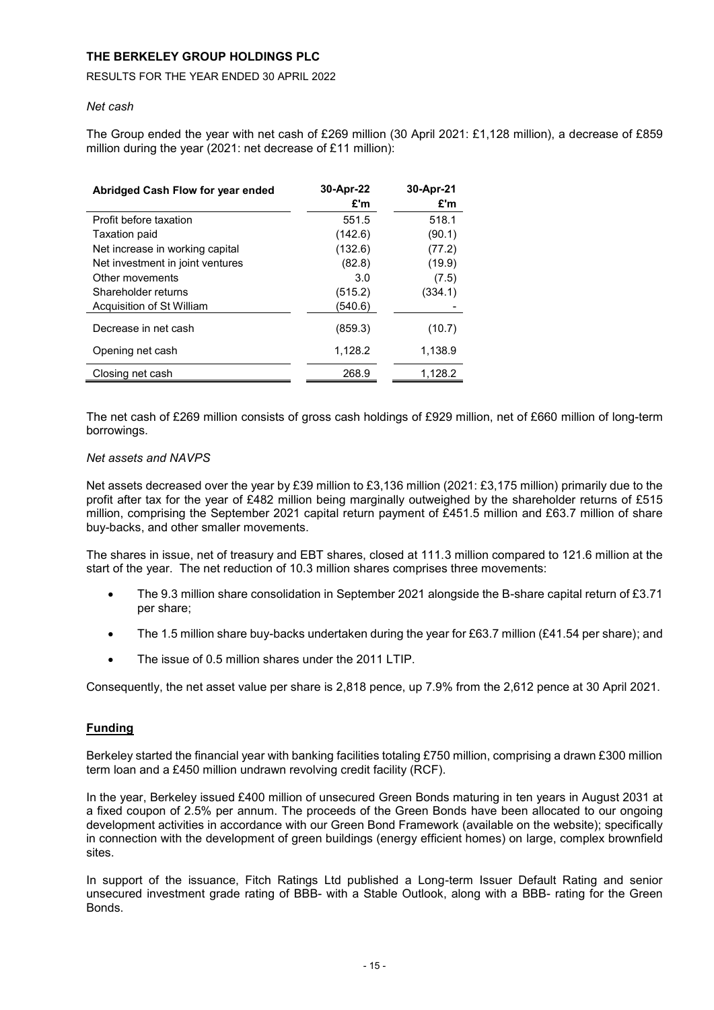# RESULTS FOR THE YEAR ENDED 30 APRIL 2022

# *Net cash*

The Group ended the year with net cash of £269 million (30 April 2021: £1,128 million), a decrease of £859 million during the year (2021: net decrease of £11 million):

| Abridged Cash Flow for year ended | 30-Apr-22<br>£'m | 30-Apr-21<br>£'m |
|-----------------------------------|------------------|------------------|
| Profit before taxation            | 551.5            | 518.1            |
| Taxation paid                     | (142.6)          | (90.1)           |
| Net increase in working capital   | (132.6)          | (77.2)           |
| Net investment in joint ventures  | (82.8)           | (19.9)           |
| Other movements                   | 3.0              | (7.5)            |
| Shareholder returns               | (515.2)          | (334.1)          |
| Acquisition of St William         | (540.6)          |                  |
| Decrease in net cash              | (859.3)          | (10.7)           |
| Opening net cash                  | 1,128.2          | 1,138.9          |
| Closing net cash                  | 268.9            | 1,128.2          |

The net cash of £269 million consists of gross cash holdings of £929 million, net of £660 million of long-term borrowings.

# *Net assets and NAVPS*

Net assets decreased over the year by £39 million to £3,136 million (2021: £3,175 million) primarily due to the profit after tax for the year of £482 million being marginally outweighed by the shareholder returns of £515 million, comprising the September 2021 capital return payment of £451.5 million and £63.7 million of share buy-backs, and other smaller movements.

The shares in issue, net of treasury and EBT shares, closed at 111.3 million compared to 121.6 million at the start of the year. The net reduction of 10.3 million shares comprises three movements:

- The 9.3 million share consolidation in September 2021 alongside the B-share capital return of £3.71 per share;
- The 1.5 million share buy-backs undertaken during the year for £63.7 million (£41.54 per share); and
- The issue of 0.5 million shares under the 2011 LTIP.

Consequently, the net asset value per share is 2,818 pence, up 7.9% from the 2,612 pence at 30 April 2021.

# **Funding**

Berkeley started the financial year with banking facilities totaling £750 million, comprising a drawn £300 million term loan and a £450 million undrawn revolving credit facility (RCF).

In the year, Berkeley issued £400 million of unsecured Green Bonds maturing in ten years in August 2031 at a fixed coupon of 2.5% per annum. The proceeds of the Green Bonds have been allocated to our ongoing development activities in accordance with our Green Bond Framework (available on the website); specifically in connection with the development of green buildings (energy efficient homes) on large, complex brownfield sites.

In support of the issuance, Fitch Ratings Ltd published a Long-term Issuer Default Rating and senior unsecured investment grade rating of BBB- with a Stable Outlook, along with a BBB- rating for the Green Bonds.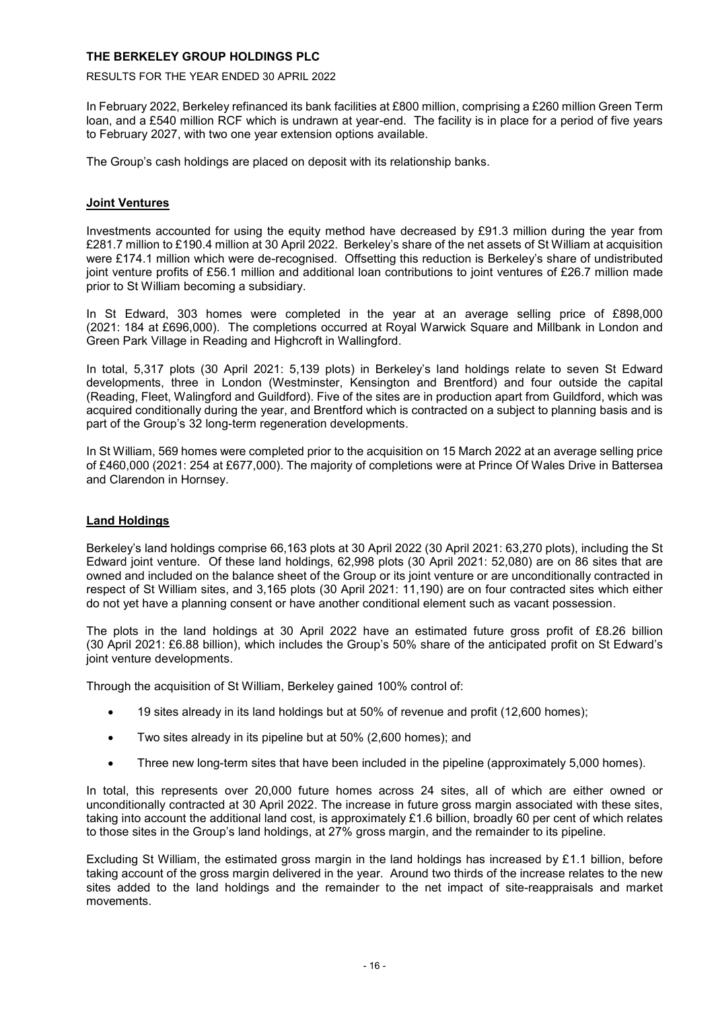RESULTS FOR THE YEAR ENDED 30 APRIL 2022

In February 2022, Berkeley refinanced its bank facilities at £800 million, comprising a £260 million Green Term loan, and a £540 million RCF which is undrawn at year-end. The facility is in place for a period of five years to February 2027, with two one year extension options available.

The Group's cash holdings are placed on deposit with its relationship banks.

# **Joint Ventures**

Investments accounted for using the equity method have decreased by £91.3 million during the year from £281.7 million to £190.4 million at 30 April 2022. Berkeley's share of the net assets of St William at acquisition were £174.1 million which were de-recognised. Offsetting this reduction is Berkeley's share of undistributed joint venture profits of £56.1 million and additional loan contributions to joint ventures of £26.7 million made prior to St William becoming a subsidiary.

In St Edward, 303 homes were completed in the year at an average selling price of £898,000 (2021: 184 at £696,000). The completions occurred at Royal Warwick Square and Millbank in London and Green Park Village in Reading and Highcroft in Wallingford.

In total, 5,317 plots (30 April 2021: 5,139 plots) in Berkeley's land holdings relate to seven St Edward developments, three in London (Westminster, Kensington and Brentford) and four outside the capital (Reading, Fleet, Walingford and Guildford). Five of the sites are in production apart from Guildford, which was acquired conditionally during the year, and Brentford which is contracted on a subject to planning basis and is part of the Group's 32 long-term regeneration developments.

In St William, 569 homes were completed prior to the acquisition on 15 March 2022 at an average selling price of £460,000 (2021: 254 at £677,000). The majority of completions were at Prince Of Wales Drive in Battersea and Clarendon in Hornsey.

# **Land Holdings**

Berkeley's land holdings comprise 66,163 plots at 30 April 2022 (30 April 2021: 63,270 plots), including the St Edward joint venture. Of these land holdings, 62,998 plots (30 April 2021: 52,080) are on 86 sites that are owned and included on the balance sheet of the Group or its joint venture or are unconditionally contracted in respect of St William sites, and 3,165 plots (30 April 2021: 11,190) are on four contracted sites which either do not yet have a planning consent or have another conditional element such as vacant possession.

The plots in the land holdings at 30 April 2022 have an estimated future gross profit of £8.26 billion (30 April 2021: £6.88 billion), which includes the Group's 50% share of the anticipated profit on St Edward's joint venture developments.

Through the acquisition of St William, Berkeley gained 100% control of:

- 19 sites already in its land holdings but at 50% of revenue and profit (12,600 homes);
- Two sites already in its pipeline but at 50% (2,600 homes); and
- Three new long-term sites that have been included in the pipeline (approximately 5,000 homes).

In total, this represents over 20,000 future homes across 24 sites, all of which are either owned or unconditionally contracted at 30 April 2022. The increase in future gross margin associated with these sites, taking into account the additional land cost, is approximately £1.6 billion, broadly 60 per cent of which relates to those sites in the Group's land holdings, at 27% gross margin, and the remainder to its pipeline.

Excluding St William, the estimated gross margin in the land holdings has increased by £1.1 billion, before taking account of the gross margin delivered in the year. Around two thirds of the increase relates to the new sites added to the land holdings and the remainder to the net impact of site-reappraisals and market movements.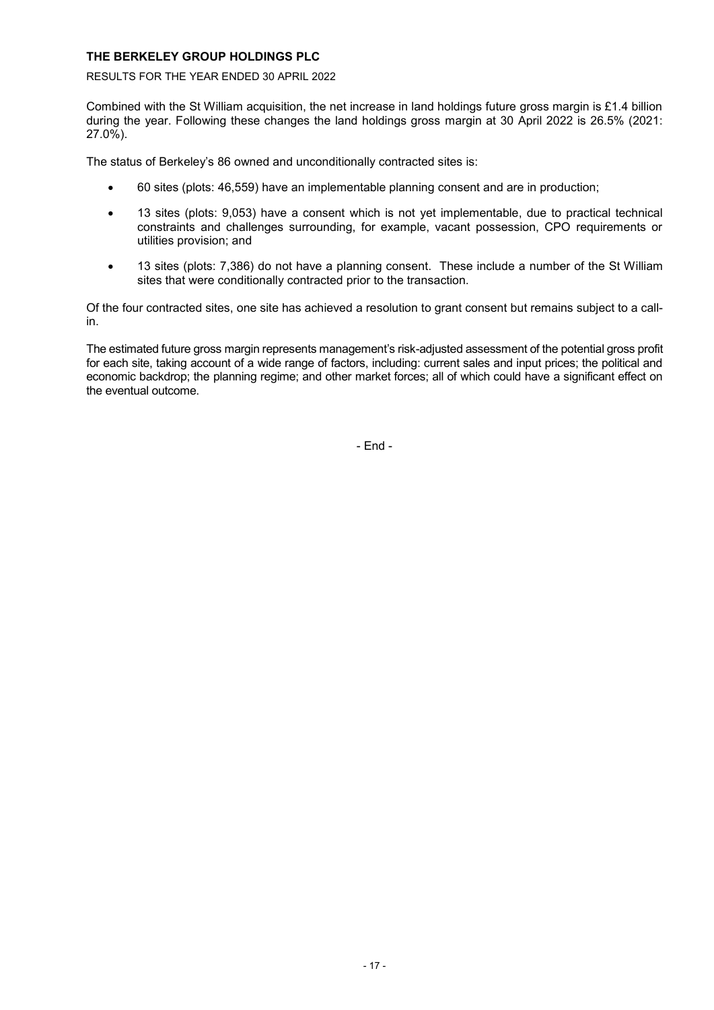RESULTS FOR THE YEAR ENDED 30 APRIL 2022

Combined with the St William acquisition, the net increase in land holdings future gross margin is £1.4 billion during the year. Following these changes the land holdings gross margin at 30 April 2022 is 26.5% (2021: 27.0%).

The status of Berkeley's 86 owned and unconditionally contracted sites is:

- 60 sites (plots: 46,559) have an implementable planning consent and are in production;
- 13 sites (plots: 9,053) have a consent which is not yet implementable, due to practical technical constraints and challenges surrounding, for example, vacant possession, CPO requirements or utilities provision; and
- 13 sites (plots: 7,386) do not have a planning consent. These include a number of the St William sites that were conditionally contracted prior to the transaction.

Of the four contracted sites, one site has achieved a resolution to grant consent but remains subject to a callin.

The estimated future gross margin represents management's risk-adjusted assessment of the potential gross profit for each site, taking account of a wide range of factors, including: current sales and input prices; the political and economic backdrop; the planning regime; and other market forces; all of which could have a significant effect on the eventual outcome.

- End -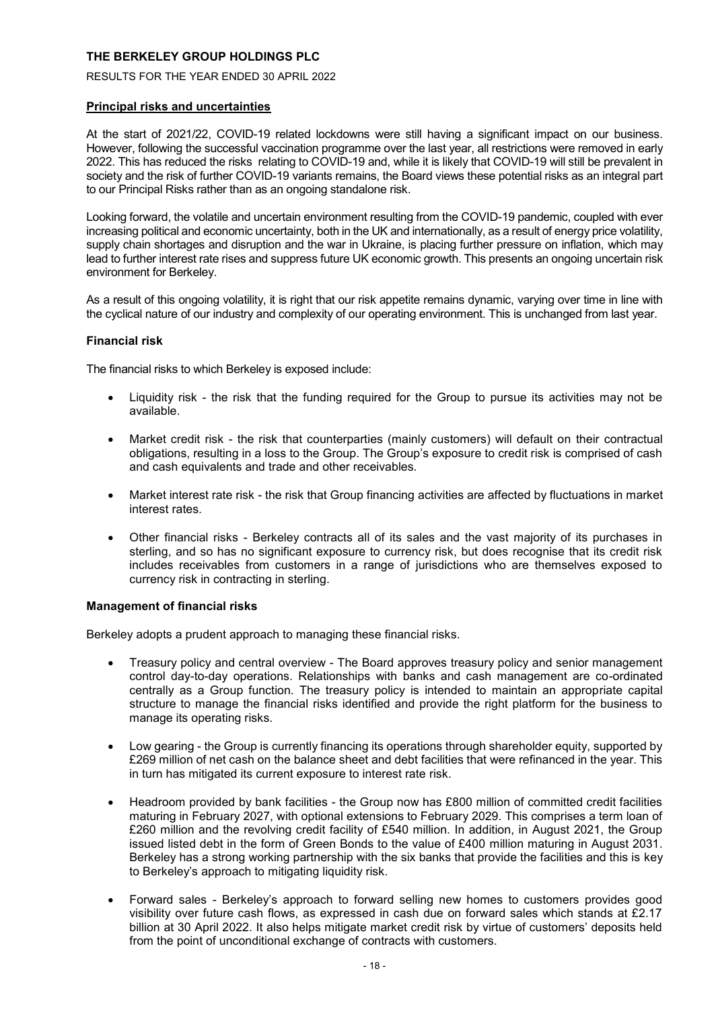RESULTS FOR THE YEAR ENDED 30 APRIL 2022

# **Principal risks and uncertainties**

At the start of 2021/22, COVID-19 related lockdowns were still having a significant impact on our business. However, following the successful vaccination programme over the last year, all restrictions were removed in early 2022. This has reduced the risks relating to COVID-19 and, while it is likely that COVID-19 will still be prevalent in society and the risk of further COVID-19 variants remains, the Board views these potential risks as an integral part to our Principal Risks rather than as an ongoing standalone risk.

Looking forward, the volatile and uncertain environment resulting from the COVID-19 pandemic, coupled with ever increasing political and economic uncertainty, both in the UK and internationally, as a result of energy price volatility, supply chain shortages and disruption and the war in Ukraine, is placing further pressure on inflation, which may lead to further interest rate rises and suppress future UK economic growth. This presents an ongoing uncertain risk environment for Berkeley.

As a result of this ongoing volatility, it is right that our risk appetite remains dynamic, varying over time in line with the cyclical nature of our industry and complexity of our operating environment. This is unchanged from last year.

# **Financial risk**

The financial risks to which Berkeley is exposed include:

- Liquidity risk the risk that the funding required for the Group to pursue its activities may not be available.
- Market credit risk the risk that counterparties (mainly customers) will default on their contractual obligations, resulting in a loss to the Group. The Group's exposure to credit risk is comprised of cash and cash equivalents and trade and other receivables.
- Market interest rate risk the risk that Group financing activities are affected by fluctuations in market interest rates.
- Other financial risks Berkeley contracts all of its sales and the vast majority of its purchases in sterling, and so has no significant exposure to currency risk, but does recognise that its credit risk includes receivables from customers in a range of jurisdictions who are themselves exposed to currency risk in contracting in sterling.

# **Management of financial risks**

Berkeley adopts a prudent approach to managing these financial risks.

- Treasury policy and central overview The Board approves treasury policy and senior management control day-to-day operations. Relationships with banks and cash management are co-ordinated centrally as a Group function. The treasury policy is intended to maintain an appropriate capital structure to manage the financial risks identified and provide the right platform for the business to manage its operating risks.
- Low gearing the Group is currently financing its operations through shareholder equity, supported by £269 million of net cash on the balance sheet and debt facilities that were refinanced in the year. This in turn has mitigated its current exposure to interest rate risk.
- Headroom provided by bank facilities the Group now has £800 million of committed credit facilities maturing in February 2027, with optional extensions to February 2029. This comprises a term loan of £260 million and the revolving credit facility of £540 million. In addition, in August 2021, the Group issued listed debt in the form of Green Bonds to the value of £400 million maturing in August 2031. Berkeley has a strong working partnership with the six banks that provide the facilities and this is key to Berkeley's approach to mitigating liquidity risk.
- Forward sales Berkeley's approach to forward selling new homes to customers provides good visibility over future cash flows, as expressed in cash due on forward sales which stands at £2.17 billion at 30 April 2022. It also helps mitigate market credit risk by virtue of customers' deposits held from the point of unconditional exchange of contracts with customers.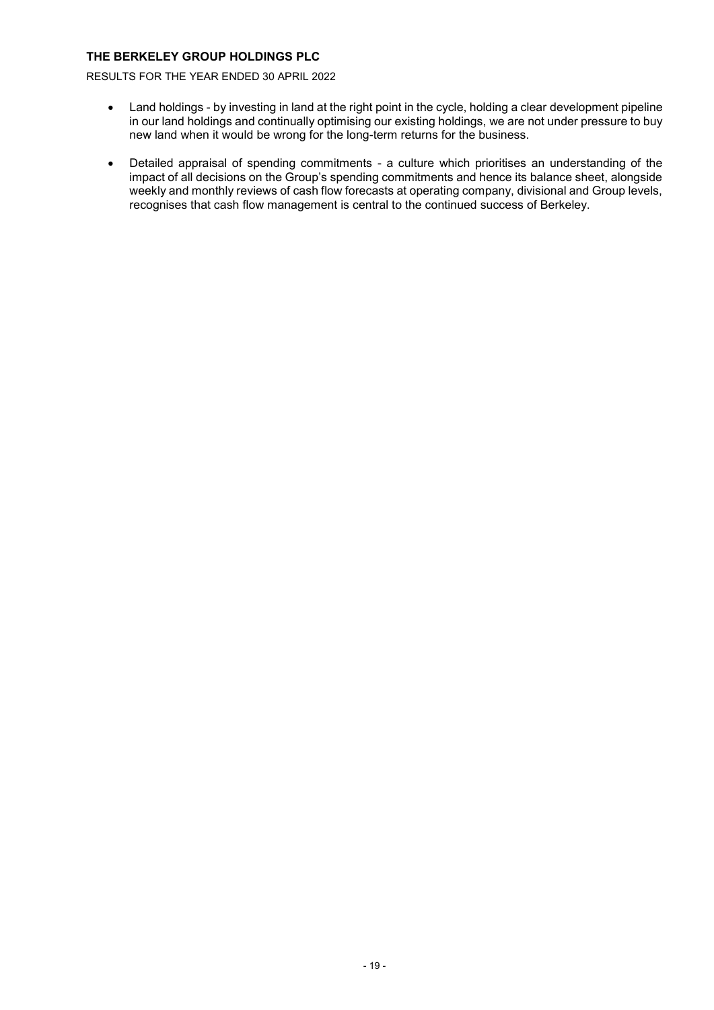RESULTS FOR THE YEAR ENDED 30 APRIL 2022

- Land holdings by investing in land at the right point in the cycle, holding a clear development pipeline in our land holdings and continually optimising our existing holdings, we are not under pressure to buy new land when it would be wrong for the long-term returns for the business.
- Detailed appraisal of spending commitments a culture which prioritises an understanding of the impact of all decisions on the Group's spending commitments and hence its balance sheet, alongside weekly and monthly reviews of cash flow forecasts at operating company, divisional and Group levels, recognises that cash flow management is central to the continued success of Berkeley.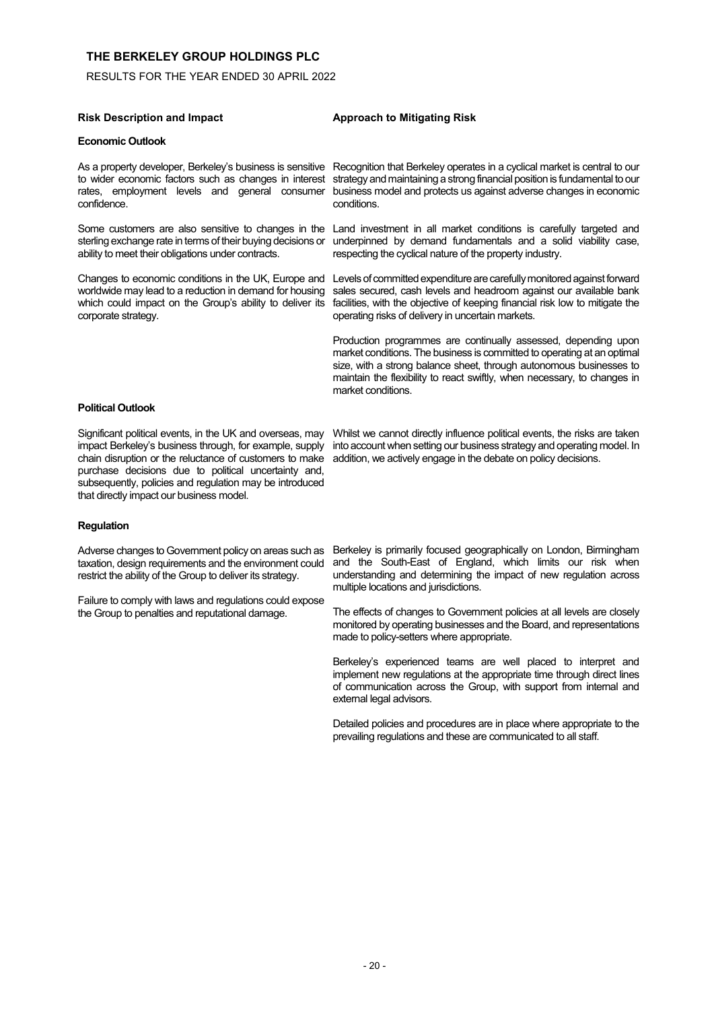RESULTS FOR THE YEAR ENDED 30 APRIL 2022

#### **Risk Description and Impact Approach to Mitigating Risk**

#### **Economic Outlook**

confidence.

Some customers are also sensitive to changes in the sterling exchange rate in terms of their buying decisions or ability to meet their obligations under contracts.

worldwide may lead to a reduction in demand for housing which could impact on the Group's ability to deliver its corporate strategy.

As a property developer, Berkeley's business is sensitive Recognition that Berkeley operates in a cyclical market is central to our to wider economic factors such as changes in interest strategy and maintaining a strong financial position is fundamental to our rates, employment levels and general consumer business model and protects us against adverse changes in economic conditions.

> Land investment in all market conditions is carefully targeted and underpinned by demand fundamentals and a solid viability case, respecting the cyclical nature of the property industry.

Changes to economic conditions in the UK, Europe and Levels of committed expenditure are carefully monitored against forward sales secured, cash levels and headroom against our available bank facilities, with the objective of keeping financial risk low to mitigate the operating risks of delivery in uncertain markets.

> Production programmes are continually assessed, depending upon market conditions. The business is committed to operating at an optimal size, with a strong balance sheet, through autonomous businesses to maintain the flexibility to react swiftly, when necessary, to changes in market conditions.

#### **Political Outlook**

Significant political events, in the UK and overseas, may impact Berkeley's business through, for example, supply chain disruption or the reluctance of customers to make purchase decisions due to political uncertainty and, subsequently, policies and regulation may be introduced that directly impact our business model.

Whilst we cannot directly influence political events, the risks are taken into account when setting our business strategy and operating model. In addition, we actively engage in the debate on policy decisions.

#### **Regulation**

Adverse changes to Government policy on areas such as taxation, design requirements and the environment could restrict the ability of the Group to deliver its strategy.

Failure to comply with laws and regulations could expose the Group to penalties and reputational damage.

Berkeley is primarily focused geographically on London, Birmingham and the South-East of England, which limits our risk when understanding and determining the impact of new regulation across multiple locations and jurisdictions.

The effects of changes to Government policies at all levels are closely monitored by operating businesses and the Board, and representations made to policy-setters where appropriate.

Berkeley's experienced teams are well placed to interpret and implement new regulations at the appropriate time through direct lines of communication across the Group, with support from internal and external legal advisors.

Detailed policies and procedures are in place where appropriate to the prevailing regulations and these are communicated to all staff.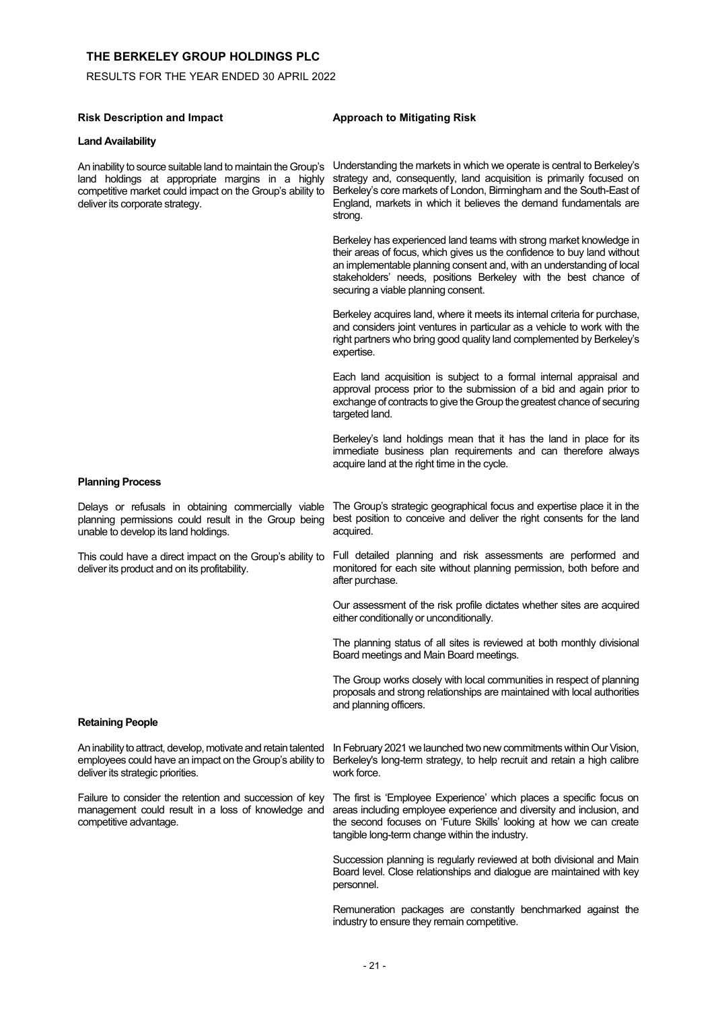RESULTS FOR THE YEAR ENDED 30 APRIL 2022

| <b>Risk Description and Impact</b>                                                                                                                                                                               | <b>Approach to Mitigating Risk</b>                                                                                                                                                                                                                                                                                                |
|------------------------------------------------------------------------------------------------------------------------------------------------------------------------------------------------------------------|-----------------------------------------------------------------------------------------------------------------------------------------------------------------------------------------------------------------------------------------------------------------------------------------------------------------------------------|
| <b>Land Availability</b>                                                                                                                                                                                         |                                                                                                                                                                                                                                                                                                                                   |
| An inability to source suitable land to maintain the Group's<br>land holdings at appropriate margins in a highly<br>competitive market could impact on the Group's ability to<br>deliver its corporate strategy. | Understanding the markets in which we operate is central to Berkeley's<br>strategy and, consequently, land acquisition is primarily focused on<br>Berkeley's core markets of London, Birmingham and the South-East of<br>England, markets in which it believes the demand fundamentals are<br>strong.                             |
|                                                                                                                                                                                                                  | Berkeley has experienced land teams with strong market knowledge in<br>their areas of focus, which gives us the confidence to buy land without<br>an implementable planning consent and, with an understanding of local<br>stakeholders' needs, positions Berkeley with the best chance of<br>securing a viable planning consent. |
|                                                                                                                                                                                                                  | Berkeley acquires land, where it meets its internal criteria for purchase,<br>and considers joint ventures in particular as a vehicle to work with the<br>right partners who bring good quality land complemented by Berkeley's<br>expertise.                                                                                     |
|                                                                                                                                                                                                                  | Each land acquisition is subject to a formal internal appraisal and<br>approval process prior to the submission of a bid and again prior to<br>exchange of contracts to give the Group the greatest chance of securing<br>targeted land.                                                                                          |
|                                                                                                                                                                                                                  | Berkeley's land holdings mean that it has the land in place for its<br>immediate business plan requirements and can therefore always<br>acquire land at the right time in the cycle.                                                                                                                                              |
| <b>Planning Process</b>                                                                                                                                                                                          |                                                                                                                                                                                                                                                                                                                                   |
| Delays or refusals in obtaining commercially viable<br>planning permissions could result in the Group being<br>unable to develop its land holdings.                                                              | The Group's strategic geographical focus and expertise place it in the<br>best position to conceive and deliver the right consents for the land<br>acquired.                                                                                                                                                                      |
| This could have a direct impact on the Group's ability to<br>deliver its product and on its profitability.                                                                                                       | Full detailed planning and risk assessments are performed and<br>monitored for each site without planning permission, both before and<br>after purchase.                                                                                                                                                                          |
|                                                                                                                                                                                                                  | Our assessment of the risk profile dictates whether sites are acquired<br>either conditionally or unconditionally.                                                                                                                                                                                                                |
|                                                                                                                                                                                                                  | The planning status of all sites is reviewed at both monthly divisional<br>Board meetings and Main Board meetings.                                                                                                                                                                                                                |
|                                                                                                                                                                                                                  | The Group works closely with local communities in respect of planning<br>proposals and strong relationships are maintained with local authorities<br>and planning officers.                                                                                                                                                       |
| <b>Retaining People</b>                                                                                                                                                                                          |                                                                                                                                                                                                                                                                                                                                   |
| An inability to attract, develop, motivate and retain talented<br>employees could have an impact on the Group's ability to<br>deliver its strategic priorities.                                                  | In February 2021 we launched two new commitments within Our Vision,<br>Berkeley's long-term strategy, to help recruit and retain a high calibre<br>work force.                                                                                                                                                                    |
| Failure to consider the retention and succession of key<br>management could result in a loss of knowledge and<br>competitive advantage.                                                                          | The first is 'Employee Experience' which places a specific focus on<br>areas including employee experience and diversity and inclusion, and<br>the second focuses on 'Future Skills' looking at how we can create<br>tangible long-term change within the industry.                                                               |
|                                                                                                                                                                                                                  | Succession planning is regularly reviewed at both divisional and Main<br>Board level. Close relationships and dialogue are maintained with key<br>personnel.                                                                                                                                                                      |
|                                                                                                                                                                                                                  | Remuneration packages are constantly benchmarked against the                                                                                                                                                                                                                                                                      |

industry to ensure they remain competitive.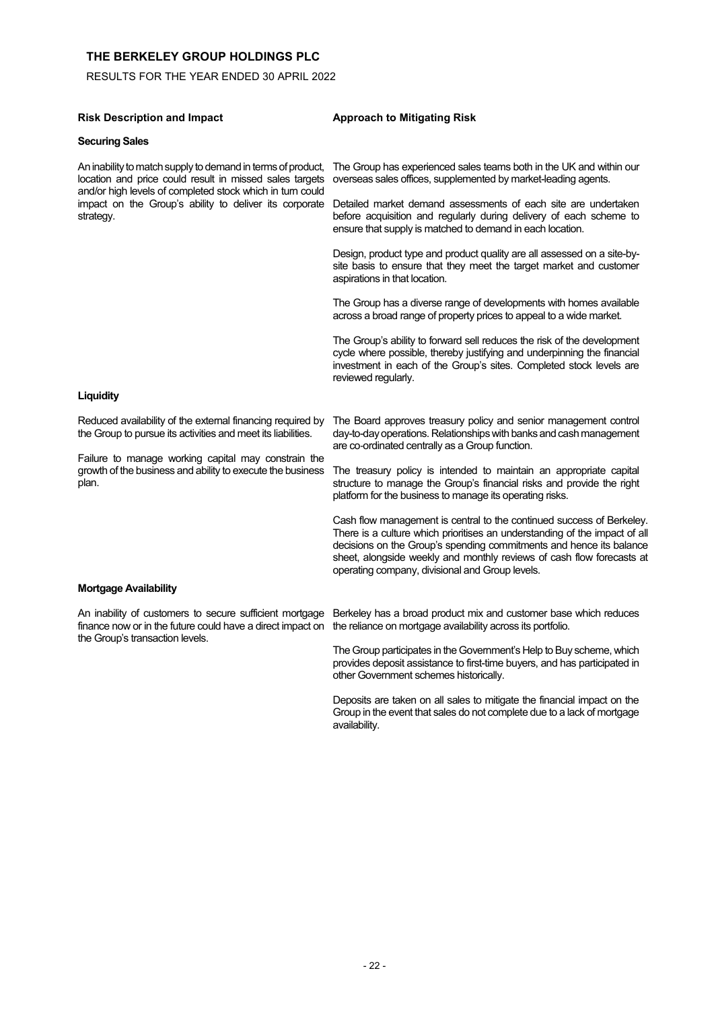RESULTS FOR THE YEAR ENDED 30 APRIL 2022

### **Securing Sales**

An inability to match supply to demand in terms of product, location and price could result in missed sales targets and/or high levels of completed stock which in turn could strategy.

#### **Risk Description and Impact Approach to Mitigating Risk**

The Group has experienced sales teams both in the UK and within our overseas sales offices, supplemented by market-leading agents.

impact on the Group's ability to deliver its corporate Detailed market demand assessments of each site are undertaken before acquisition and regularly during delivery of each scheme to ensure that supply is matched to demand in each location.

> Design, product type and product quality are all assessed on a site-bysite basis to ensure that they meet the target market and customer aspirations in that location.

> The Group has a diverse range of developments with homes available across a broad range of property prices to appeal to a wide market.

> The Group's ability to forward sell reduces the risk of the development cycle where possible, thereby justifying and underpinning the financial investment in each of the Group's sites. Completed stock levels are reviewed regularly.

#### **Liquidity**

Reduced availability of the external financing required by the Group to pursue its activities and meet its liabilities.

Failure to manage working capital may constrain the growth of the business and ability to execute the business plan.

The Board approves treasury policy and senior management control day-to-day operations. Relationships with banks and cash management are co‑ordinated centrally as a Group function.

The treasury policy is intended to maintain an appropriate capital structure to manage the Group's financial risks and provide the right platform for the business to manage its operating risks.

Cash flow management is central to the continued success of Berkeley. There is a culture which prioritises an understanding of the impact of all decisions on the Group's spending commitments and hence its balance sheet, alongside weekly and monthly reviews of cash flow forecasts at operating company, divisional and Group levels.

#### **Mortgage Availability**

finance now or in the future could have a direct impact on the reliance on mortgage availability across its portfolio. the Group's transaction levels.

An inability of customers to secure sufficient mortgage Berkeley has a broad product mix and customer base which reduces

The Group participates in the Government's Help to Buy scheme, which provides deposit assistance to first-time buyers, and has participated in other Government schemes historically.

Deposits are taken on all sales to mitigate the financial impact on the Group in the event that sales do not complete due to a lack of mortgage availability.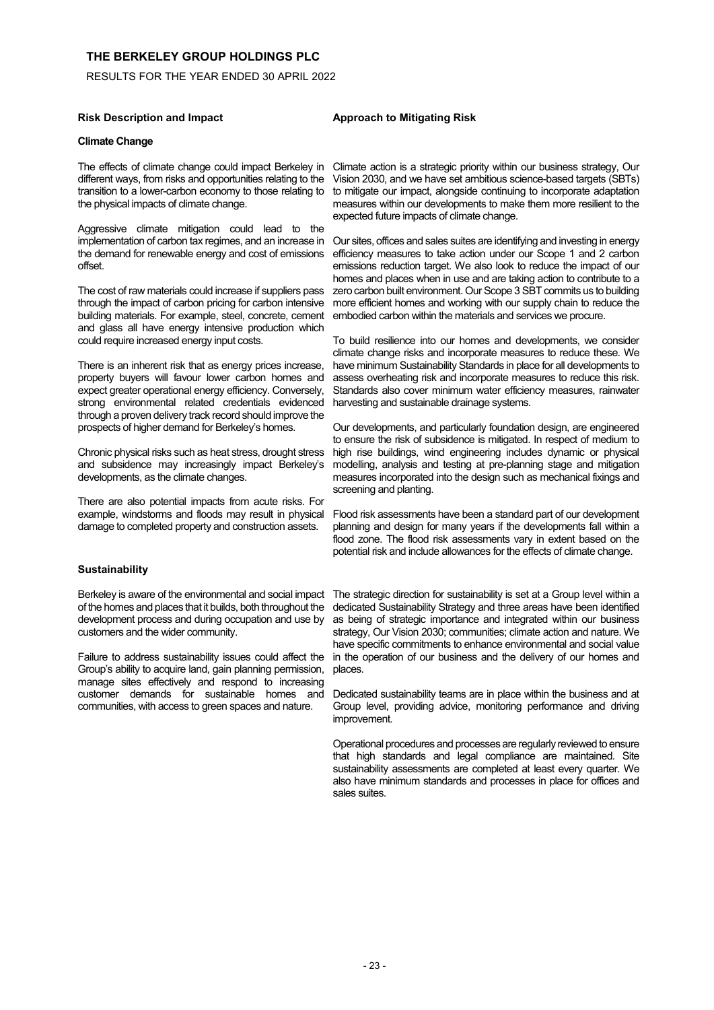RESULTS FOR THE YEAR ENDED 30 APRIL 2022

#### **Risk Description and Impact Approach to Mitigating Risk**

### **Climate Change**

The effects of climate change could impact Berkeley in different ways, from risks and opportunities relating to the transition to a lower-carbon economy to those relating to the physical impacts of climate change.

Aggressive climate mitigation could lead to the implementation of carbon tax regimes, and an increase in the demand for renewable energy and cost of emissions offset.

The cost of raw materials could increase if suppliers pass through the impact of carbon pricing for carbon intensive building materials. For example, steel, concrete, cement and glass all have energy intensive production which could require increased energy input costs.

There is an inherent risk that as energy prices increase, property buyers will favour lower carbon homes and expect greater operational energy efficiency. Conversely, strong environmental related credentials evidenced through a proven delivery track record should improve the prospects of higher demand for Berkeley's homes.

Chronic physical risks such as heat stress, drought stress and subsidence may increasingly impact Berkeley's developments, as the climate changes.

There are also potential impacts from acute risks. For example, windstorms and floods may result in physical damage to completed property and construction assets.

#### **Sustainability**

Berkeley is aware of the environmental and social impact of the homes and places that it builds, both throughout the development process and during occupation and use by customers and the wider community.

Failure to address sustainability issues could affect the Group's ability to acquire land, gain planning permission, manage sites effectively and respond to increasing customer demands for sustainable homes and communities, with access to green spaces and nature.

Climate action is a strategic priority within our business strategy, Our Vision 2030, and we have set ambitious science-based targets (SBTs) to mitigate our impact, alongside continuing to incorporate adaptation measures within our developments to make them more resilient to the expected future impacts of climate change.

Our sites, offices and sales suites are identifying and investing in energy efficiency measures to take action under our Scope 1 and 2 carbon emissions reduction target. We also look to reduce the impact of our homes and places when in use and are taking action to contribute to a zero carbon built environment. Our Scope 3 SBT commits us to building more efficient homes and working with our supply chain to reduce the embodied carbon within the materials and services we procure.

To build resilience into our homes and developments, we consider climate change risks and incorporate measures to reduce these. We have minimum Sustainability Standards in place for all developments to assess overheating risk and incorporate measures to reduce this risk. Standards also cover minimum water efficiency measures, rainwater harvesting and sustainable drainage systems.

Our developments, and particularly foundation design, are engineered to ensure the risk of subsidence is mitigated. In respect of medium to high rise buildings, wind engineering includes dynamic or physical modelling, analysis and testing at pre-planning stage and mitigation measures incorporated into the design such as mechanical fixings and screening and planting.

Flood risk assessments have been a standard part of our development planning and design for many years if the developments fall within a flood zone. The flood risk assessments vary in extent based on the potential risk and include allowances for the effects of climate change.

The strategic direction for sustainability is set at a Group level within a dedicated Sustainability Strategy and three areas have been identified as being of strategic importance and integrated within our business strategy, Our Vision 2030; communities; climate action and nature. We have specific commitments to enhance environmental and social value in the operation of our business and the delivery of our homes and places.

Dedicated sustainability teams are in place within the business and at Group level, providing advice, monitoring performance and driving improvement.

Operational procedures and processes are regularly reviewed to ensure that high standards and legal compliance are maintained. Site sustainability assessments are completed at least every quarter. We also have minimum standards and processes in place for offices and sales suites.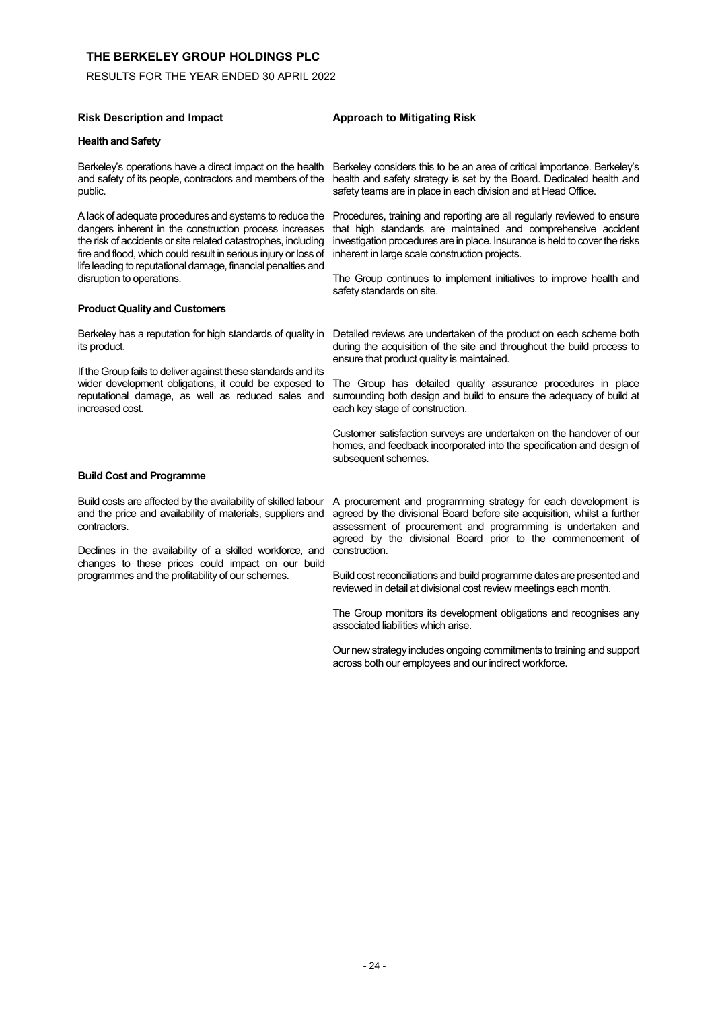RESULTS FOR THE YEAR ENDED 30 APRIL 2022

| <b>Risk Description and Impact</b> | Approach to |
|------------------------------------|-------------|
|                                    |             |

### **Health and Safety**

Berkeley's operations have a direct impact on the health and safety of its people, contractors and members of the public.

A lack of adequate procedures and systems to reduce the dangers inherent in the construction process increases the risk of accidents or site related catastrophes, including fire and flood, which could result in serious injury or loss of life leading to reputational damage, financial penalties and disruption to operations.

#### **Product Quality and Customers**

Berkeley has a reputation for high standards of quality in its product.

If the Group fails to deliver against these standards and its wider development obligations, it could be exposed to reputational damage, as well as reduced sales and increased cost.

# **Risk Description and Impact Approach to Mitigating Risk**

Berkeley considers this to be an area of critical importance. Berkeley's health and safety strategy is set by the Board. Dedicated health and safety teams are in place in each division and at Head Office.

Procedures, training and reporting are all regularly reviewed to ensure that high standards are maintained and comprehensive accident investigation procedures are in place. Insurance is held to cover the risks inherent in large scale construction projects.

The Group continues to implement initiatives to improve health and safety standards on site.

Detailed reviews are undertaken of the product on each scheme both during the acquisition of the site and throughout the build process to ensure that product quality is maintained.

The Group has detailed quality assurance procedures in place surrounding both design and build to ensure the adequacy of build at each key stage of construction.

Customer satisfaction surveys are undertaken on the handover of our homes, and feedback incorporated into the specification and design of subsequent schemes.

#### **Build Cost and Programme**

Build costs are affected by the availability of skilled labour and the price and availability of materials, suppliers and contractors.

Declines in the availability of a skilled workforce, and changes to these prices could impact on our build programmes and the profitability of our schemes.

A procurement and programming strategy for each development is agreed by the divisional Board before site acquisition, whilst a further assessment of procurement and programming is undertaken and agreed by the divisional Board prior to the commencement of construction.

Build cost reconciliations and build programme dates are presented and reviewed in detail at divisional cost review meetings each month.

The Group monitors its development obligations and recognises any associated liabilities which arise.

Our new strategy includes ongoing commitments to training and support across both our employees and our indirect workforce.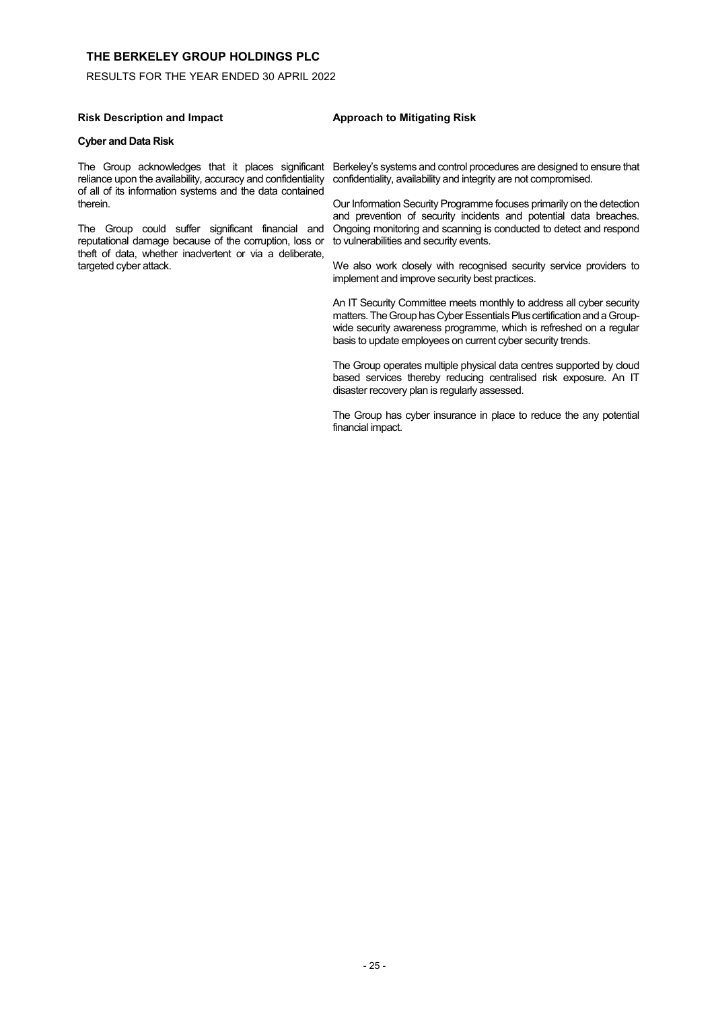# RESULTS FOR THE YEAR ENDED 30 APRIL 2022

#### **Risk Description and Impact Approach to Mitigating Risk**

#### **Cyber and Data Risk**

reliance upon the availability, accuracy and confidentiality of all of its information systems and the data contained therein.

The Group could suffer significant financial and reputational damage because of the corruption, loss or theft of data, whether inadvertent or via a deliberate, targeted cyber attack.

#### The Group acknowledges that it places significant Berkeley's systems and control procedures are designed to ensure that confidentiality, availability and integrity are not compromised.

Our Information Security Programme focuses primarily on the detection and prevention of security incidents and potential data breaches. Ongoing monitoring and scanning is conducted to detect and respond to vulnerabilities and security events.

We also work closely with recognised security service providers to implement and improve security best practices.

An IT Security Committee meets monthly to address all cyber security matters. The Group has Cyber Essentials Plus certification and a Groupwide security awareness programme, which is refreshed on a regular basis to update employees on current cyber security trends.

The Group operates multiple physical data centres supported by cloud based services thereby reducing centralised risk exposure. An IT disaster recovery plan is regularly assessed.

The Group has cyber insurance in place to reduce the any potential financial impact.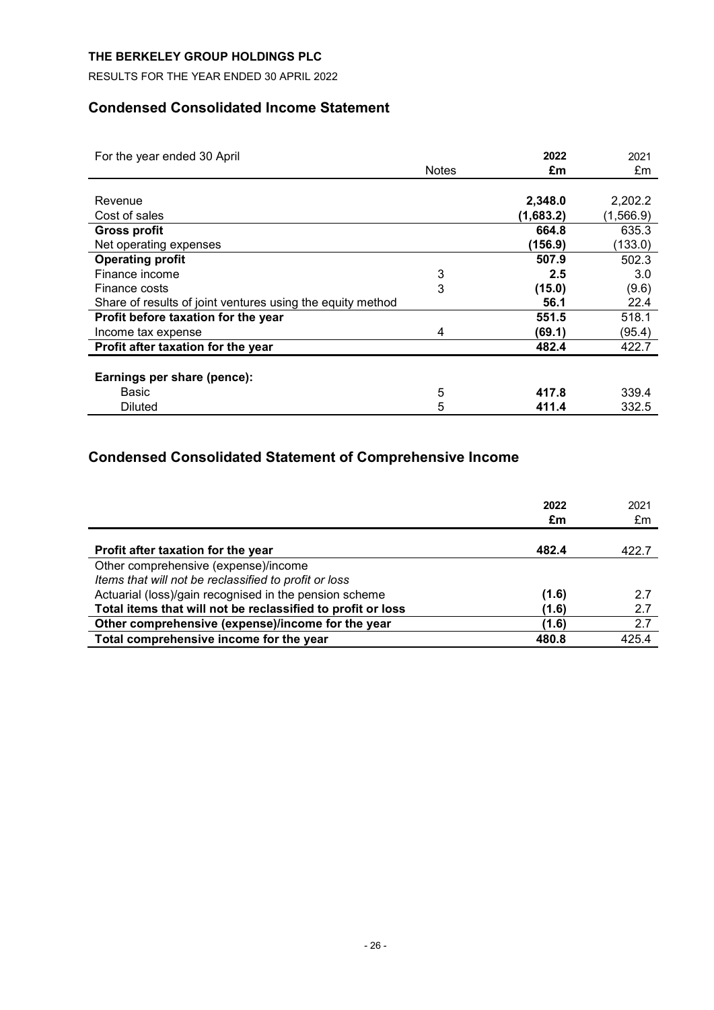RESULTS FOR THE YEAR ENDED 30 APRIL 2022

# **Condensed Consolidated Income Statement**

| For the year ended 30 April                                |              | 2022      | 2021      |
|------------------------------------------------------------|--------------|-----------|-----------|
|                                                            | <b>Notes</b> | £m        | £m        |
|                                                            |              |           |           |
| Revenue                                                    |              | 2,348.0   | 2,202.2   |
| Cost of sales                                              |              | (1,683.2) | (1,566.9) |
| <b>Gross profit</b>                                        |              | 664.8     | 635.3     |
| Net operating expenses                                     |              | (156.9)   | (133.0)   |
| <b>Operating profit</b>                                    |              | 507.9     | 502.3     |
| Finance income                                             | 3            | 2.5       | 3.0       |
| Finance costs                                              | 3            | (15.0)    | (9.6)     |
| Share of results of joint ventures using the equity method |              | 56.1      | 22.4      |
| Profit before taxation for the year                        |              | 551.5     | 518.1     |
| Income tax expense                                         | 4            | (69.1)    | (95.4)    |
| Profit after taxation for the year                         |              | 482.4     | 422.7     |
|                                                            |              |           |           |
| Earnings per share (pence):                                |              |           |           |
| Basic                                                      | 5            | 417.8     | 339.4     |
| <b>Diluted</b>                                             | 5            | 411.4     | 332.5     |

# **Condensed Consolidated Statement of Comprehensive Income**

|                                                             | 2022<br>£m | 2021<br>£m |
|-------------------------------------------------------------|------------|------------|
| Profit after taxation for the year                          | 482.4      | 422.7      |
| Other comprehensive (expense)/income                        |            |            |
| Items that will not be reclassified to profit or loss       |            |            |
| Actuarial (loss)/gain recognised in the pension scheme      | (1.6)      | 2.7        |
| Total items that will not be reclassified to profit or loss | (1.6)      | 2.7        |
| Other comprehensive (expense)/income for the year           | (1.6)      | 2.7        |
| Total comprehensive income for the year                     | 480.8      | 425.4      |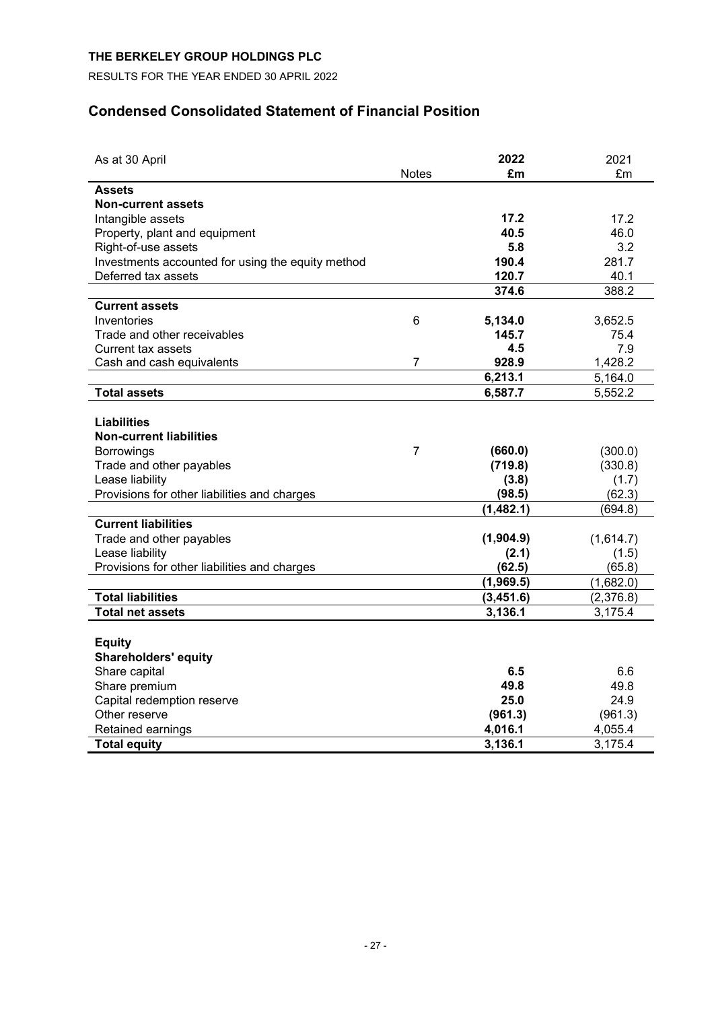RESULTS FOR THE YEAR ENDED 30 APRIL 2022

# **Condensed Consolidated Statement of Financial Position**

| As at 30 April                                    |                | 2022      | 2021      |
|---------------------------------------------------|----------------|-----------|-----------|
|                                                   | <b>Notes</b>   | £m        | £m        |
| <b>Assets</b>                                     |                |           |           |
| <b>Non-current assets</b>                         |                |           |           |
| Intangible assets                                 |                | 17.2      | 17.2      |
| Property, plant and equipment                     |                | 40.5      | 46.0      |
| Right-of-use assets                               |                | 5.8       | 3.2       |
| Investments accounted for using the equity method |                | 190.4     | 281.7     |
| Deferred tax assets                               |                | 120.7     | 40.1      |
|                                                   |                | 374.6     | 388.2     |
| <b>Current assets</b>                             |                |           |           |
| Inventories                                       | 6              | 5,134.0   | 3,652.5   |
| Trade and other receivables                       |                | 145.7     | 75.4      |
| Current tax assets                                |                | 4.5       | 7.9       |
| Cash and cash equivalents                         | 7              | 928.9     | 1,428.2   |
|                                                   |                | 6,213.1   | 5,164.0   |
| <b>Total assets</b>                               |                | 6,587.7   | 5,552.2   |
|                                                   |                |           |           |
| <b>Liabilities</b>                                |                |           |           |
| <b>Non-current liabilities</b>                    |                |           |           |
| <b>Borrowings</b>                                 | $\overline{7}$ | (660.0)   | (300.0)   |
| Trade and other payables                          |                | (719.8)   | (330.8)   |
| Lease liability                                   |                | (3.8)     | (1.7)     |
| Provisions for other liabilities and charges      |                | (98.5)    | (62.3)    |
|                                                   |                | (1,482.1) | (694.8)   |
| <b>Current liabilities</b>                        |                |           |           |
| Trade and other payables                          |                | (1,904.9) | (1,614.7) |
| Lease liability                                   |                | (2.1)     | (1.5)     |
| Provisions for other liabilities and charges      |                | (62.5)    | (65.8)    |
|                                                   |                | (1,969.5) | (1,682.0) |
| <b>Total liabilities</b>                          |                | (3,451.6) | (2,376.8) |
| <b>Total net assets</b>                           |                | 3,136.1   | 3,175.4   |
|                                                   |                |           |           |
| <b>Equity</b>                                     |                |           |           |
| <b>Shareholders' equity</b>                       |                |           |           |
| Share capital                                     |                | 6.5       | 6.6       |
| Share premium                                     |                | 49.8      | 49.8      |
| Capital redemption reserve                        |                | 25.0      | 24.9      |
| Other reserve                                     |                | (961.3)   | (961.3)   |
| Retained earnings                                 |                | 4,016.1   | 4,055.4   |
| <b>Total equity</b>                               |                | 3,136.1   | 3,175.4   |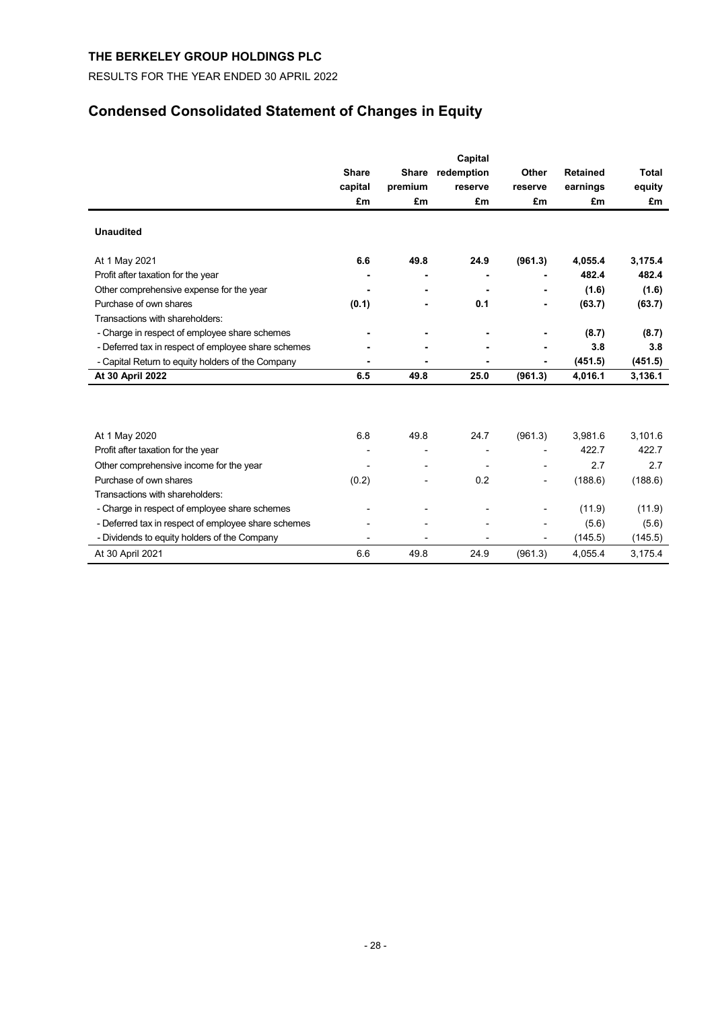RESULTS FOR THE YEAR ENDED 30 APRIL 2022

# **Condensed Consolidated Statement of Changes in Equity**

|                                                     | <b>Share</b><br>capital<br>£m | <b>Share</b><br>premium<br>£m | Capital<br>redemption<br>reserve<br>£m | Other<br>reserve<br>£m | <b>Retained</b><br>earnings<br>£m | <b>Total</b><br>equity<br>£m |
|-----------------------------------------------------|-------------------------------|-------------------------------|----------------------------------------|------------------------|-----------------------------------|------------------------------|
| <b>Unaudited</b>                                    |                               |                               |                                        |                        |                                   |                              |
| At 1 May 2021                                       | 6.6                           | 49.8                          | 24.9                                   | (961.3)                | 4,055.4                           | 3,175.4                      |
| Profit after taxation for the year                  |                               |                               |                                        |                        | 482.4                             | 482.4                        |
| Other comprehensive expense for the year            |                               |                               |                                        |                        | (1.6)                             | (1.6)                        |
| Purchase of own shares                              | (0.1)                         | ٠                             | 0.1                                    |                        | (63.7)                            | (63.7)                       |
| Transactions with shareholders:                     |                               |                               |                                        |                        |                                   |                              |
| - Charge in respect of employee share schemes       |                               |                               |                                        |                        | (8.7)                             | (8.7)                        |
| - Deferred tax in respect of employee share schemes |                               |                               |                                        |                        | 3.8                               | 3.8                          |
| - Capital Return to equity holders of the Company   |                               |                               |                                        |                        | (451.5)                           | (451.5)                      |
| At 30 April 2022                                    | 6.5                           | 49.8                          | 25.0                                   | (961.3)                | 4,016.1                           | 3,136.1                      |
|                                                     |                               |                               |                                        |                        |                                   |                              |
| At 1 May 2020                                       | 6.8                           | 49.8                          | 24.7                                   | (961.3)                | 3,981.6                           | 3,101.6                      |
| Profit after taxation for the year                  |                               | $\overline{a}$                |                                        |                        | 422.7                             | 422.7                        |
| Other comprehensive income for the year             |                               | $\overline{a}$                |                                        |                        | 2.7                               | 2.7                          |
| Purchase of own shares                              | (0.2)                         |                               | 0.2                                    |                        | (188.6)                           | (188.6)                      |
| Transactions with shareholders:                     |                               |                               |                                        |                        |                                   |                              |
| - Charge in respect of employee share schemes       |                               | $\overline{a}$                |                                        |                        | (11.9)                            | (11.9)                       |
| - Deferred tax in respect of employee share schemes |                               |                               |                                        |                        | (5.6)                             | (5.6)                        |
| - Dividends to equity holders of the Company        | $\overline{a}$                | $\overline{a}$                | ٠                                      | ٠                      | (145.5)                           | (145.5)                      |
| At 30 April 2021                                    | 6.6                           | 49.8                          | 24.9                                   | (961.3)                | 4,055.4                           | 3,175.4                      |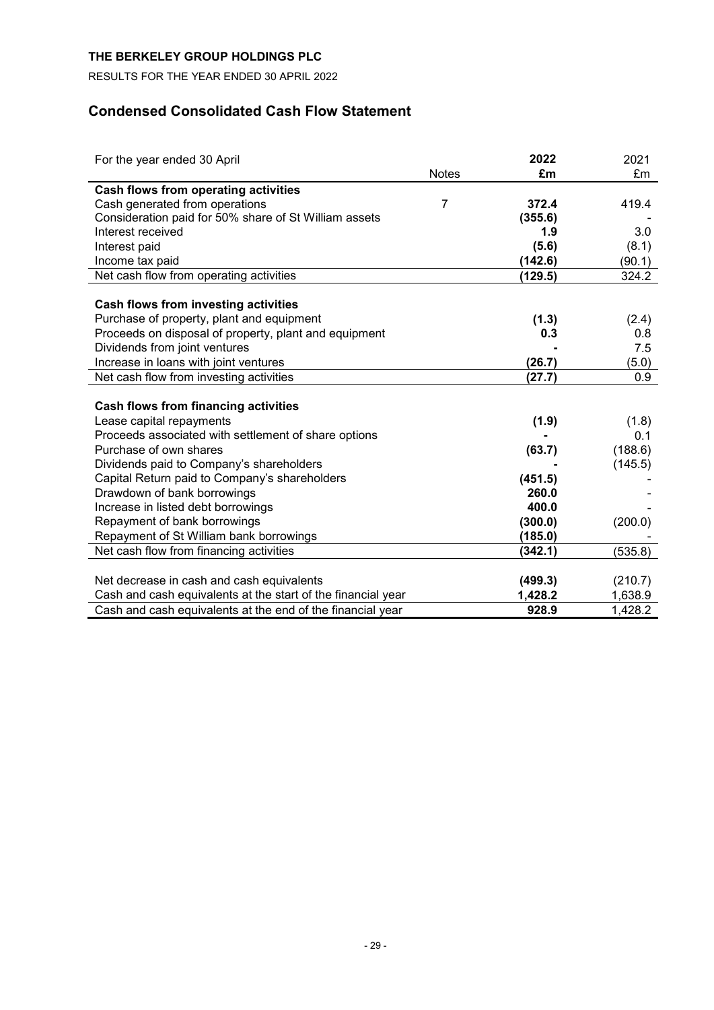RESULTS FOR THE YEAR ENDED 30 APRIL 2022

# **Condensed Consolidated Cash Flow Statement**

| For the year ended 30 April                                  |                | 2022    | 2021    |
|--------------------------------------------------------------|----------------|---------|---------|
|                                                              | <b>Notes</b>   | £m      | £m      |
| Cash flows from operating activities                         |                |         |         |
| Cash generated from operations                               | $\overline{7}$ | 372.4   | 419.4   |
| Consideration paid for 50% share of St William assets        |                | (355.6) |         |
| Interest received                                            |                | 1.9     | 3.0     |
| Interest paid                                                |                | (5.6)   | (8.1)   |
| Income tax paid                                              |                | (142.6) | (90.1)  |
| Net cash flow from operating activities                      |                | (129.5) | 324.2   |
|                                                              |                |         |         |
| Cash flows from investing activities                         |                |         |         |
| Purchase of property, plant and equipment                    |                | (1.3)   | (2.4)   |
| Proceeds on disposal of property, plant and equipment        |                | 0.3     | 0.8     |
| Dividends from joint ventures                                |                |         | 7.5     |
| Increase in loans with joint ventures                        |                | (26.7)  | (5.0)   |
| Net cash flow from investing activities                      |                | (27.7)  | 0.9     |
|                                                              |                |         |         |
| <b>Cash flows from financing activities</b>                  |                |         |         |
| Lease capital repayments                                     |                | (1.9)   | (1.8)   |
| Proceeds associated with settlement of share options         |                |         | 0.1     |
| Purchase of own shares                                       |                | (63.7)  | (188.6) |
| Dividends paid to Company's shareholders                     |                |         | (145.5) |
| Capital Return paid to Company's shareholders                |                | (451.5) |         |
| Drawdown of bank borrowings                                  |                | 260.0   |         |
| Increase in listed debt borrowings                           |                | 400.0   |         |
| Repayment of bank borrowings                                 |                | (300.0) | (200.0) |
| Repayment of St William bank borrowings                      |                | (185.0) |         |
| Net cash flow from financing activities                      |                | (342.1) | (535.8) |
|                                                              |                |         |         |
| Net decrease in cash and cash equivalents                    |                | (499.3) | (210.7) |
| Cash and cash equivalents at the start of the financial year |                | 1,428.2 | 1,638.9 |
| Cash and cash equivalents at the end of the financial year   |                | 928.9   | 1,428.2 |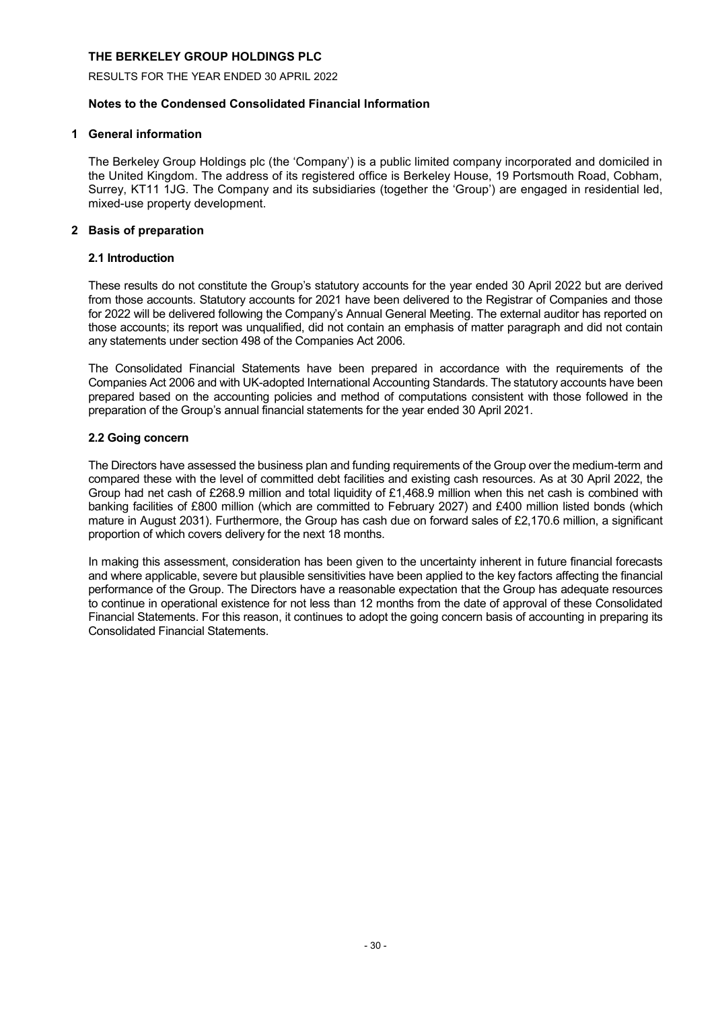RESULTS FOR THE YEAR ENDED 30 APRIL 2022

# **Notes to the Condensed Consolidated Financial Information**

# **1 General information**

The Berkeley Group Holdings plc (the 'Company') is a public limited company incorporated and domiciled in the United Kingdom. The address of its registered office is Berkeley House, 19 Portsmouth Road, Cobham, Surrey, KT11 1JG. The Company and its subsidiaries (together the 'Group') are engaged in residential led, mixed-use property development.

# **2 Basis of preparation**

# **2.1 Introduction**

These results do not constitute the Group's statutory accounts for the year ended 30 April 2022 but are derived from those accounts. Statutory accounts for 2021 have been delivered to the Registrar of Companies and those for 2022 will be delivered following the Company's Annual General Meeting. The external auditor has reported on those accounts; its report was unqualified, did not contain an emphasis of matter paragraph and did not contain any statements under section 498 of the Companies Act 2006.

The Consolidated Financial Statements have been prepared in accordance with the requirements of the Companies Act 2006 and with UK-adopted International Accounting Standards. The statutory accounts have been prepared based on the accounting policies and method of computations consistent with those followed in the preparation of the Group's annual financial statements for the year ended 30 April 2021.

# **2.2 Going concern**

The Directors have assessed the business plan and funding requirements of the Group over the medium-term and compared these with the level of committed debt facilities and existing cash resources. As at 30 April 2022, the Group had net cash of £268.9 million and total liquidity of £1,468.9 million when this net cash is combined with banking facilities of £800 million (which are committed to February 2027) and £400 million listed bonds (which mature in August 2031). Furthermore, the Group has cash due on forward sales of £2,170.6 million, a significant proportion of which covers delivery for the next 18 months.

In making this assessment, consideration has been given to the uncertainty inherent in future financial forecasts and where applicable, severe but plausible sensitivities have been applied to the key factors affecting the financial performance of the Group. The Directors have a reasonable expectation that the Group has adequate resources to continue in operational existence for not less than 12 months from the date of approval of these Consolidated Financial Statements. For this reason, it continues to adopt the going concern basis of accounting in preparing its Consolidated Financial Statements.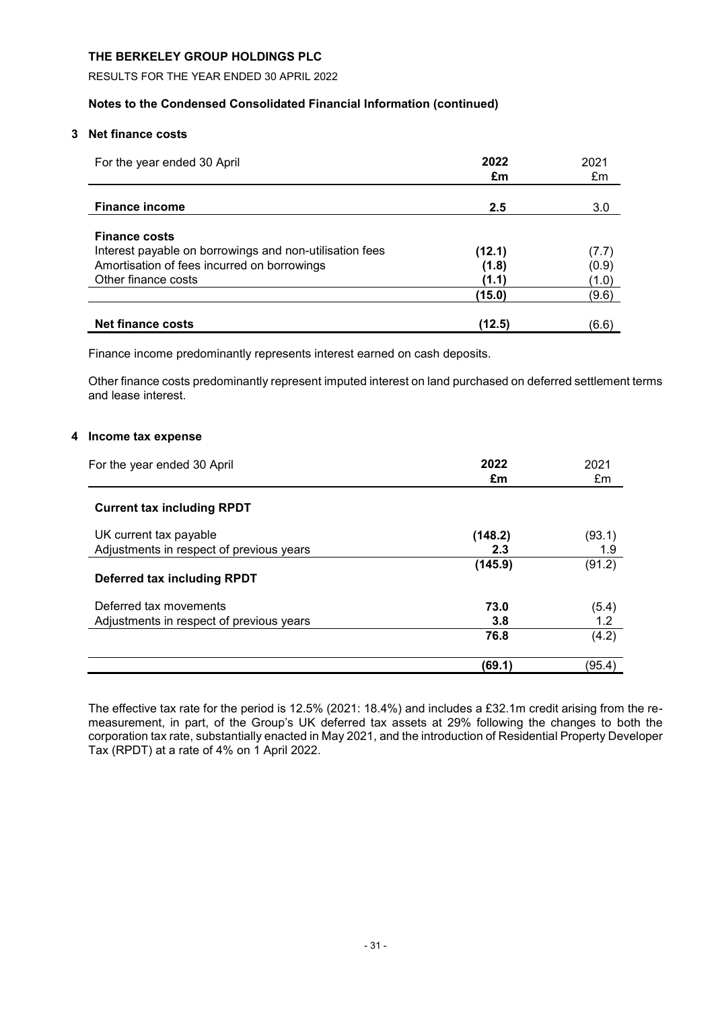RESULTS FOR THE YEAR ENDED 30 APRIL 2022

# **Notes to the Condensed Consolidated Financial Information (continued)**

# **3 Net finance costs**

| For the year ended 30 April                                                                                                                           | 2022<br>£m               | 2021<br>£m              |
|-------------------------------------------------------------------------------------------------------------------------------------------------------|--------------------------|-------------------------|
| <b>Finance income</b>                                                                                                                                 | 2.5                      | 3.0                     |
| <b>Finance costs</b><br>Interest payable on borrowings and non-utilisation fees<br>Amortisation of fees incurred on borrowings<br>Other finance costs | (12.1)<br>(1.8)<br>(1.1) | (7.7)<br>(0.9)<br>(1.0) |
|                                                                                                                                                       | (15.0)                   | (9.6)                   |
| <b>Net finance costs</b>                                                                                                                              | (12.5)                   | (6.6)                   |

Finance income predominantly represents interest earned on cash deposits.

Other finance costs predominantly represent imputed interest on land purchased on deferred settlement terms and lease interest.

# **4 Income tax expense**

| For the year ended 30 April              | 2022<br>£m | 2021<br>£m |
|------------------------------------------|------------|------------|
| <b>Current tax including RPDT</b>        |            |            |
| UK current tax payable                   | (148.2)    | (93.1)     |
| Adjustments in respect of previous years | 2.3        | 1.9        |
| Deferred tax including RPDT              | (145.9)    | (91.2)     |
| Deferred tax movements                   | 73.0       | (5.4)      |
| Adjustments in respect of previous years | 3.8        | 1.2        |
|                                          | 76.8       | (4.2)      |
|                                          | (69.1)     | (95.4)     |

The effective tax rate for the period is 12.5% (2021: 18.4%) and includes a £32.1m credit arising from the remeasurement, in part, of the Group's UK deferred tax assets at 29% following the changes to both the corporation tax rate, substantially enacted in May 2021, and the introduction of Residential Property Developer Tax (RPDT) at a rate of 4% on 1 April 2022.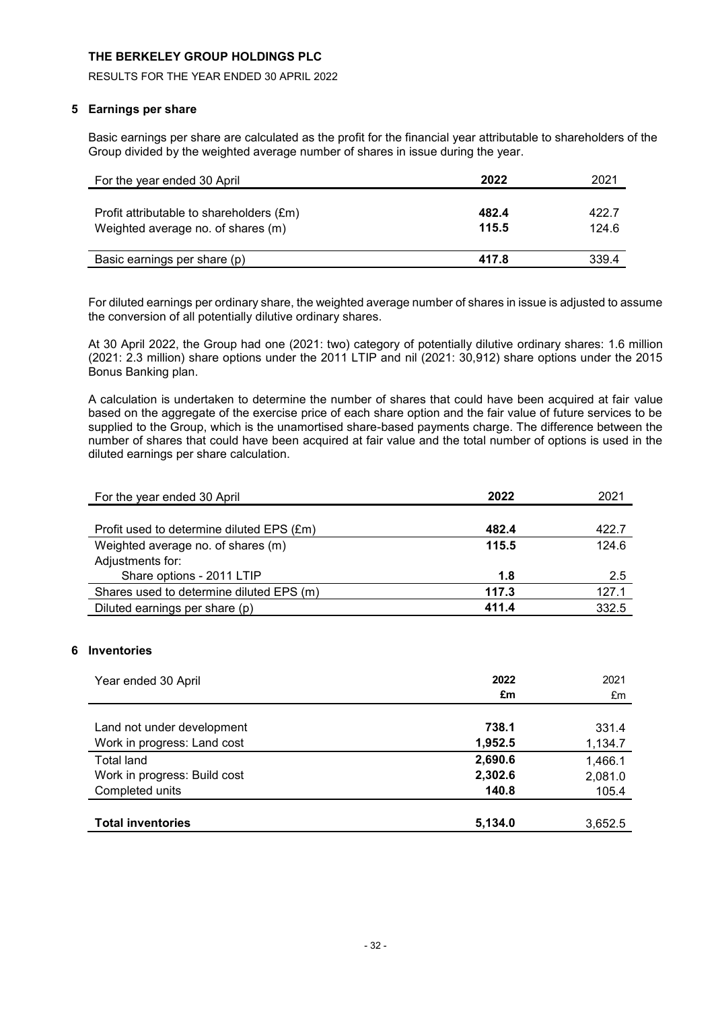RESULTS FOR THE YEAR ENDED 30 APRIL 2022

# **5 Earnings per share**

Basic earnings per share are calculated as the profit for the financial year attributable to shareholders of the Group divided by the weighted average number of shares in issue during the year.

| For the year ended 30 April                                                    | 2022           | 2021           |
|--------------------------------------------------------------------------------|----------------|----------------|
| Profit attributable to shareholders (£m)<br>Weighted average no. of shares (m) | 482.4<br>115.5 | 422.7<br>124.6 |
| Basic earnings per share (p)                                                   | 417.8          | 339.4          |

For diluted earnings per ordinary share, the weighted average number of shares in issue is adjusted to assume the conversion of all potentially dilutive ordinary shares.

At 30 April 2022, the Group had one (2021: two) category of potentially dilutive ordinary shares: 1.6 million (2021: 2.3 million) share options under the 2011 LTIP and nil (2021: 30,912) share options under the 2015 Bonus Banking plan.

A calculation is undertaken to determine the number of shares that could have been acquired at fair value based on the aggregate of the exercise price of each share option and the fair value of future services to be supplied to the Group, which is the unamortised share-based payments charge. The difference between the number of shares that could have been acquired at fair value and the total number of options is used in the diluted earnings per share calculation.

| For the year ended 30 April               | 2022  | 2021  |
|-------------------------------------------|-------|-------|
|                                           |       |       |
| Profit used to determine diluted EPS (£m) | 482.4 | 422.7 |
| Weighted average no. of shares (m)        | 115.5 | 124.6 |
| Adjustments for:                          |       |       |
| Share options - 2011 LTIP                 | 1.8   | 2.5   |
| Shares used to determine diluted EPS (m)  | 117.3 | 127.1 |
| Diluted earnings per share (p)            | 411.4 | 332.5 |
|                                           |       |       |

# **6 Inventories**

| Year ended 30 April                                       | 2022<br>£m       | 2021<br>£m       |
|-----------------------------------------------------------|------------------|------------------|
| Land not under development<br>Work in progress: Land cost | 738.1<br>1,952.5 | 331.4<br>1,134.7 |
| <b>Total land</b>                                         | 2,690.6          | 1,466.1          |
| Work in progress: Build cost                              | 2,302.6          | 2,081.0          |
| Completed units                                           | 140.8            | 105.4            |
| <b>Total inventories</b>                                  | 5,134.0          | 3,652.5          |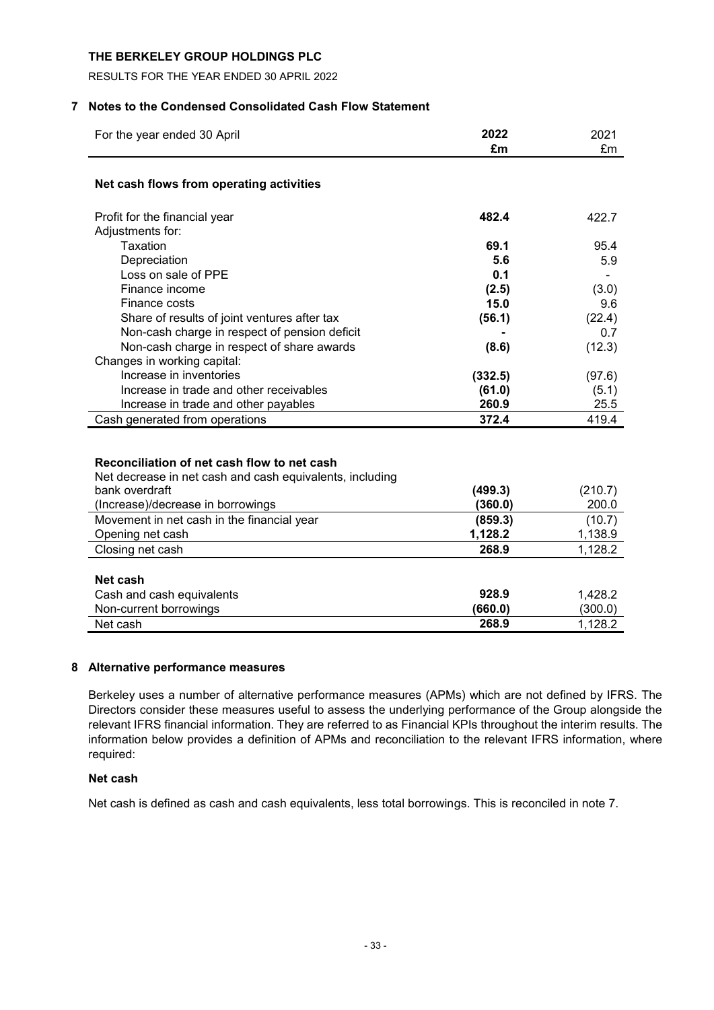RESULTS FOR THE YEAR ENDED 30 APRIL 2022

# **7 Notes to the Condensed Consolidated Cash Flow Statement**

| For the year ended 30 April                              | 2022               | 2021             |
|----------------------------------------------------------|--------------------|------------------|
|                                                          | £m                 | £m               |
| Net cash flows from operating activities                 |                    |                  |
| Profit for the financial year                            | 482.4              | 422.7            |
| Adjustments for:                                         |                    |                  |
| Taxation                                                 | 69.1               | 95.4             |
| Depreciation                                             | 5.6                | 5.9              |
| Loss on sale of PPE                                      | 0.1                |                  |
| Finance income                                           | (2.5)              | (3.0)            |
| Finance costs                                            | 15.0               | 9.6              |
| Share of results of joint ventures after tax             | (56.1)             | (22.4)           |
| Non-cash charge in respect of pension deficit            |                    | 0.7              |
| Non-cash charge in respect of share awards               | (8.6)              | (12.3)           |
| Changes in working capital:                              |                    |                  |
| Increase in inventories                                  | (332.5)            | (97.6)           |
| Increase in trade and other receivables                  | (61.0)             | (5.1)            |
| Increase in trade and other payables                     | 260.9              | 25.5             |
| Cash generated from operations                           | 372.4              | 419.4            |
| Reconciliation of net cash flow to net cash              |                    |                  |
| Net decrease in net cash and cash equivalents, including |                    |                  |
| bank overdraft                                           | (499.3)<br>(360.0) | (210.7)<br>200.0 |
| (Increase)/decrease in borrowings                        | (859.3)            |                  |
| Movement in net cash in the financial year               | 1,128.2            | (10.7)           |
| Opening net cash                                         | 268.9              | 1,138.9          |
| Closing net cash                                         |                    | 1,128.2          |
| Net cash                                                 |                    |                  |
| Cash and cash equivalents                                | 928.9              | 1,428.2          |
| Non-current borrowings                                   | (660.0)            | (300.0)          |
| Net cash                                                 | 268.9              | 1,128.2          |

# **8 Alternative performance measures**

Berkeley uses a number of alternative performance measures (APMs) which are not defined by IFRS. The Directors consider these measures useful to assess the underlying performance of the Group alongside the relevant IFRS financial information. They are referred to as Financial KPIs throughout the interim results. The information below provides a definition of APMs and reconciliation to the relevant IFRS information, where required:

# **Net cash**

Net cash is defined as cash and cash equivalents, less total borrowings. This is reconciled in note 7.